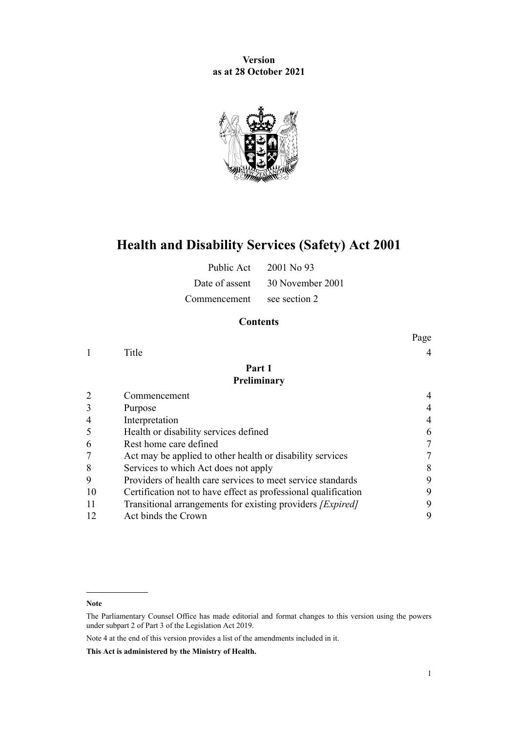**Version as at 28 October 2021**



# **Health and Disability Services (Safety) Act 2001**

Public Act 2001 No 93

Date of assent 30 November 2001

Commencement see section 2

# **Contents**

|    |                                                                   | Page |
|----|-------------------------------------------------------------------|------|
|    | Title                                                             |      |
|    | Part 1                                                            |      |
|    | Preliminary                                                       |      |
|    | Commencement                                                      |      |
|    | Purpose                                                           | 4    |
|    | Interpretation                                                    |      |
|    | Health or disability services defined                             | 6    |
| 6  | Rest home care defined                                            |      |
|    | Act may be applied to other health or disability services         | 7    |
| 8  | Services to which Act does not apply                              | 8    |
| 9  | Providers of health care services to meet service standards       | 9    |
| 10 | Certification not to have effect as professional qualification    | 9    |
|    | Transitional arrangements for existing providers <i>[Expired]</i> | 9    |
| 12 | Act binds the Crown                                               | 9    |

**Note**

Note 4 at the end of this version provides a list of the amendments included in it.

**This Act is administered by the Ministry of Health.**

The Parliamentary Counsel Office has made editorial and format changes to this version using the powers under [subpart 2](http://legislation.govt.nz/pdflink.aspx?id=DLM7298371) of Part 3 of the Legislation Act 2019.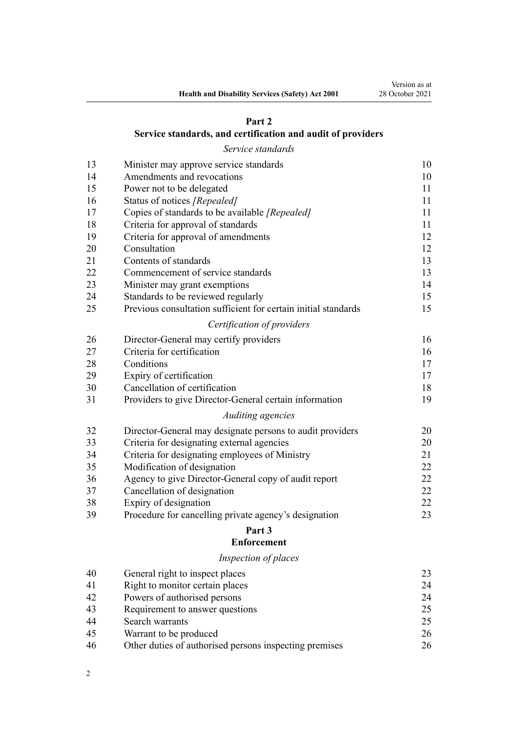# **[Part 2](#page-9-0)**

# **[Service standards, and certification and audit of providers](#page-9-0)**

*[Service standards](#page-9-0)*

| 13 | Minister may approve service standards                         | 10 |
|----|----------------------------------------------------------------|----|
| 14 | Amendments and revocations                                     | 10 |
| 15 | Power not to be delegated                                      | 11 |
| 16 | Status of notices [Repealed]                                   | 11 |
| 17 | Copies of standards to be available [Repealed]                 | 11 |
| 18 | Criteria for approval of standards                             | 11 |
| 19 | Criteria for approval of amendments                            | 12 |
| 20 | Consultation                                                   | 12 |
| 21 | Contents of standards                                          | 13 |
| 22 | Commencement of service standards                              | 13 |
| 23 | Minister may grant exemptions                                  | 14 |
| 24 | Standards to be reviewed regularly                             | 15 |
| 25 | Previous consultation sufficient for certain initial standards | 15 |
|    | Certification of providers                                     |    |
| 26 | Director-General may certify providers                         | 16 |
| 27 | Criteria for certification                                     | 16 |
| 28 | Conditions                                                     | 17 |
| 29 | Expiry of certification                                        | 17 |
| 30 | Cancellation of certification                                  | 18 |
| 31 | Providers to give Director-General certain information         | 19 |
|    | Auditing agencies                                              |    |
| 32 | Director-General may designate persons to audit providers      | 20 |
| 33 | Criteria for designating external agencies                     | 20 |
| 34 | Criteria for designating employees of Ministry                 | 21 |
| 35 | Modification of designation                                    | 22 |
| 36 | Agency to give Director-General copy of audit report           | 22 |
| 37 | Cancellation of designation                                    | 22 |
| 38 | Expiry of designation                                          | 22 |
| 39 | Procedure for cancelling private agency's designation          | 23 |
|    | Part 3                                                         |    |

# **[Enforcement](#page-22-0)**

# *[Inspection of places](#page-22-0)*

| 40 | General right to inspect places                        | 23 |
|----|--------------------------------------------------------|----|
| 41 | Right to monitor certain places                        | 24 |
| 42 | Powers of authorised persons                           | 24 |
| 43 | Requirement to answer questions                        | 25 |
| 44 | Search warrants                                        | 25 |
| 45 | Warrant to be produced                                 | 26 |
| 46 | Other duties of authorised persons inspecting premises | 26 |
|    |                                                        |    |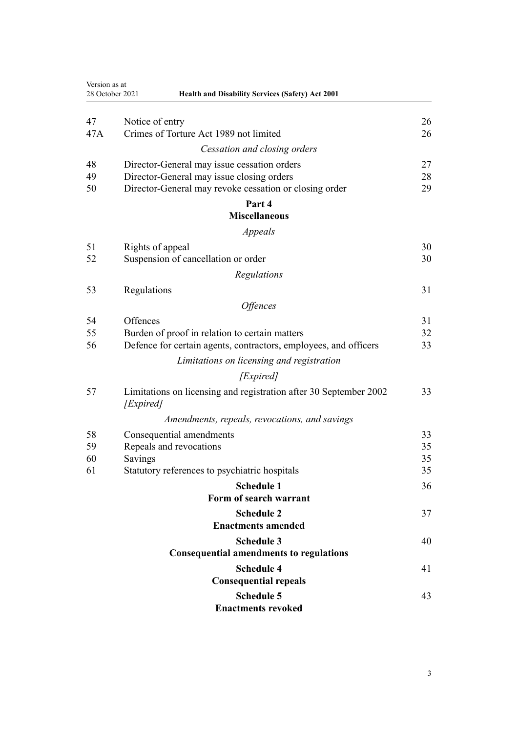| Version as at | 28 October 2021<br><b>Health and Disability Services (Safety) Act 2001</b>     |          |
|---------------|--------------------------------------------------------------------------------|----------|
| 47            | Notice of entry                                                                | 26       |
| 47A           | Crimes of Torture Act 1989 not limited                                         | 26       |
|               | Cessation and closing orders                                                   |          |
| 48            | Director-General may issue cessation orders                                    | 27       |
| 49            | Director-General may issue closing orders                                      | 28       |
| 50            | Director-General may revoke cessation or closing order                         | 29       |
|               | Part 4                                                                         |          |
|               | <b>Miscellaneous</b>                                                           |          |
|               | Appeals                                                                        |          |
| 51<br>52      | Rights of appeal<br>Suspension of cancellation or order                        | 30<br>30 |
|               |                                                                                |          |
|               | Regulations                                                                    |          |
| 53            | Regulations                                                                    | 31       |
|               | <i><b>Offences</b></i>                                                         |          |
| 54            | Offences                                                                       | 31       |
| 55            | Burden of proof in relation to certain matters                                 | 32       |
| 56            | Defence for certain agents, contractors, employees, and officers               | 33       |
|               | Limitations on licensing and registration                                      |          |
|               | [Expired]                                                                      |          |
| 57            | Limitations on licensing and registration after 30 September 2002<br>[Expired] | 33       |
|               | Amendments, repeals, revocations, and savings                                  |          |
| 58            | Consequential amendments                                                       | 33       |
| 59            | Repeals and revocations                                                        | 35       |
| 60            | Savings                                                                        | 35       |
| 61            | Statutory references to psychiatric hospitals                                  | 35       |
|               | <b>Schedule 1</b>                                                              | 36       |
|               | Form of search warrant                                                         |          |
|               | <b>Schedule 2</b><br><b>Enactments amended</b>                                 | 37       |
|               | <b>Schedule 3</b>                                                              |          |
|               | <b>Consequential amendments to regulations</b>                                 | 40       |
|               | <b>Schedule 4</b>                                                              | 41       |
|               | <b>Consequential repeals</b>                                                   |          |
|               | <b>Schedule 5</b>                                                              | 43       |
|               | <b>Enactments revoked</b>                                                      |          |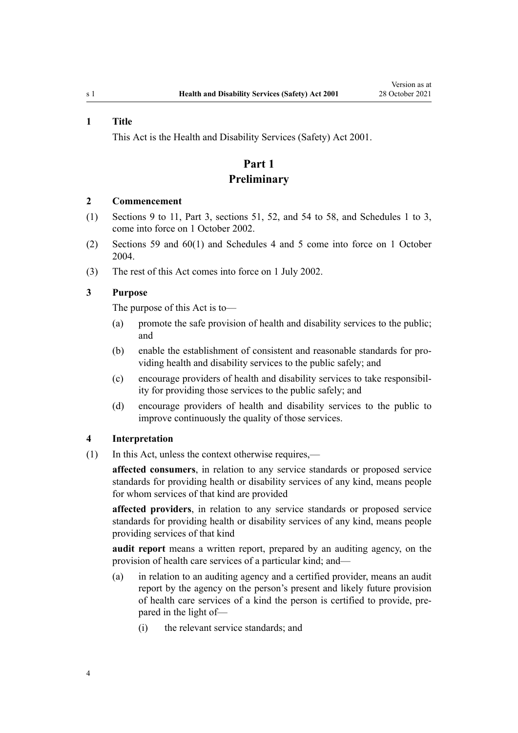#### <span id="page-3-0"></span>**1 Title**

This Act is the Health and Disability Services (Safety) Act 2001.

# **Part 1 Preliminary**

#### **2 Commencement**

- (1) [Sections 9 to 11,](#page-8-0) [Part 3](#page-22-0), [sections 51,](#page-29-0) [52](#page-29-0), and [54 to 58,](#page-30-0) and [Schedules 1 to 3](#page-35-0), come into force on 1 October 2002.
- (2) [Sections 59](#page-34-0) and [60\(1\)](#page-34-0) and [Schedules 4](#page-40-0) and [5](#page-42-0) come into force on 1 October 2004.
- (3) The rest of this Act comes into force on 1 July 2002.

# **3 Purpose**

The purpose of this Act is to—

- (a) promote the safe provision of health and disability services to the public; and
- (b) enable the establishment of consistent and reasonable standards for pro‐ viding health and disability services to the public safely; and
- (c) encourage providers of health and disability services to take responsibil‐ ity for providing those services to the public safely; and
- (d) encourage providers of health and disability services to the public to improve continuously the quality of those services.

## **4 Interpretation**

(1) In this Act, unless the context otherwise requires,—

**affected consumers**, in relation to any service standards or proposed service standards for providing health or disability services of any kind, means people for whom services of that kind are provided

**affected providers**, in relation to any service standards or proposed service standards for providing health or disability services of any kind, means people providing services of that kind

**audit report** means a written report, prepared by an auditing agency, on the provision of health care services of a particular kind; and—

- (a) in relation to an auditing agency and a certified provider, means an audit report by the agency on the person's present and likely future provision of health care services of a kind the person is certified to provide, pre‐ pared in the light of—
	- (i) the relevant service standards; and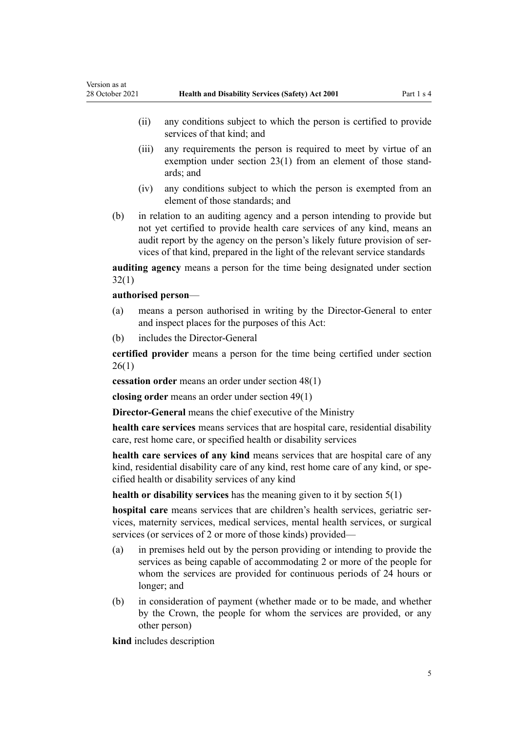- (ii) any conditions subject to which the person is certified to provide services of that kind; and
- (iii) any requirements the person is required to meet by virtue of an exemption under [section 23\(1\)](#page-13-0) from an element of those standards; and
- (iv) any conditions subject to which the person is exempted from an element of those standards; and
- (b) in relation to an auditing agency and a person intending to provide but not yet certified to provide health care services of any kind, means an audit report by the agency on the person's likely future provision of ser‐ vices of that kind, prepared in the light of the relevant service standards

**auditing agency** means a person for the time being designated under [section](#page-19-0) [32\(1\)](#page-19-0)

## **authorised person**—

Version as at

- (a) means a person authorised in writing by the Director-General to enter and inspect places for the purposes of this Act:
- (b) includes the Director-General

**certified provider** means a person for the time being certified under [section](#page-15-0) [26\(1\)](#page-15-0)

**cessation order** means an order under [section 48\(1\)](#page-26-0)

**closing order** means an order under [section 49\(1\)](#page-27-0)

**Director-General** means the chief executive of the Ministry

**health care services** means services that are hospital care, residential disability care, rest home care, or specified health or disability services

**health care services of any kind** means services that are hospital care of any kind, residential disability care of any kind, rest home care of any kind, or specified health or disability services of any kind

**health or disability services** has the meaning given to it by [section 5\(1\)](#page-5-0)

hospital care means services that are children's health services, geriatric services, maternity services, medical services, mental health services, or surgical services (or services of 2 or more of those kinds) provided—

- (a) in premises held out by the person providing or intending to provide the services as being capable of accommodating 2 or more of the people for whom the services are provided for continuous periods of 24 hours or longer; and
- (b) in consideration of payment (whether made or to be made, and whether by the Crown, the people for whom the services are provided, or any other person)

**kind** includes description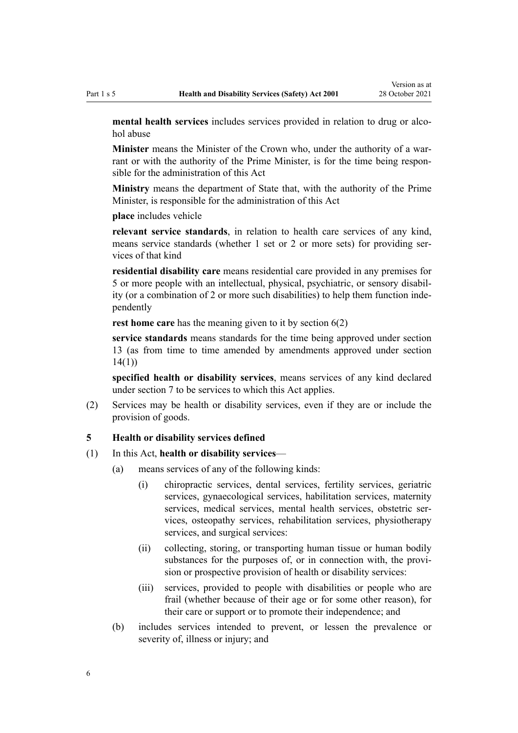<span id="page-5-0"></span>mental health services includes services provided in relation to drug or alcohol abuse

**Minister** means the Minister of the Crown who, under the authority of a war‐ rant or with the authority of the Prime Minister, is for the time being responsible for the administration of this Act

**Ministry** means the department of State that, with the authority of the Prime Minister, is responsible for the administration of this Act

**place** includes vehicle

**relevant service standards**, in relation to health care services of any kind, means service standards (whether 1 set or 2 or more sets) for providing services of that kind

**residential disability care** means residential care provided in any premises for 5 or more people with an intellectual, physical, psychiatric, or sensory disabil‐ ity (or a combination of 2 or more such disabilities) to help them function inde‐ pendently

**rest home care** has the meaning given to it by [section 6\(2\)](#page-6-0)

**service standards** means standards for the time being approved under [section](#page-9-0) [13](#page-9-0) (as from time to time amended by amendments approved under [section](#page-9-0) [14\(1\)](#page-9-0))

**specified health or disability services**, means services of any kind declared under [section 7](#page-6-0) to be services to which this Act applies.

(2) Services may be health or disability services, even if they are or include the provision of goods.

#### **5 Health or disability services defined**

#### (1) In this Act, **health or disability services**—

- (a) means services of any of the following kinds:
	- (i) chiropractic services, dental services, fertility services, geriatric services, gynaecological services, habilitation services, maternity services, medical services, mental health services, obstetric services, osteopathy services, rehabilitation services, physiotherapy services, and surgical services:
	- (ii) collecting, storing, or transporting human tissue or human bodily substances for the purposes of, or in connection with, the provision or prospective provision of health or disability services:
	- (iii) services, provided to people with disabilities or people who are frail (whether because of their age or for some other reason), for their care or support or to promote their independence; and
- (b) includes services intended to prevent, or lessen the prevalence or severity of, illness or injury; and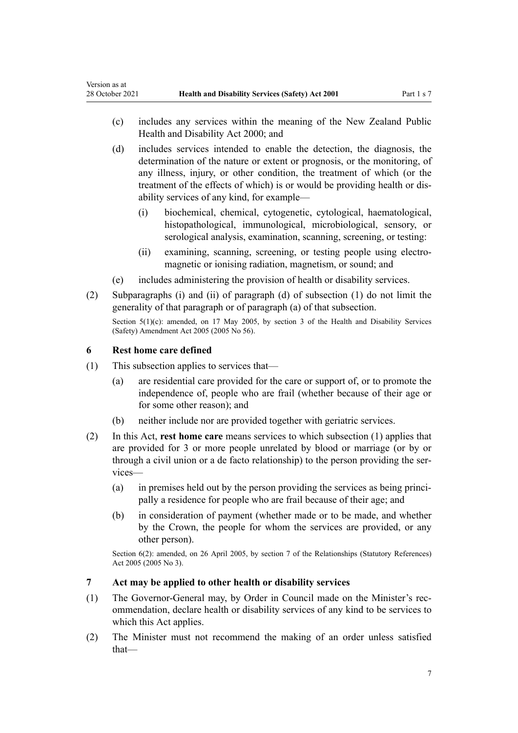- <span id="page-6-0"></span>(c) includes any services within the meaning of the [New Zealand Public](http://legislation.govt.nz/pdflink.aspx?id=DLM80050) [Health and Disability Act 2000;](http://legislation.govt.nz/pdflink.aspx?id=DLM80050) and
- (d) includes services intended to enable the detection, the diagnosis, the determination of the nature or extent or prognosis, or the monitoring, of any illness, injury, or other condition, the treatment of which (or the treatment of the effects of which) is or would be providing health or dis‐ ability services of any kind, for example—
	- (i) biochemical, chemical, cytogenetic, cytological, haematological, histopathological, immunological, microbiological, sensory, or serological analysis, examination, scanning, screening, or testing:
	- (ii) examining, scanning, screening, or testing people using electromagnetic or ionising radiation, magnetism, or sound; and
- (e) includes administering the provision of health or disability services.
- (2) Subparagraphs (i) and (ii) of paragraph (d) of subsection (1) do not limit the generality of that paragraph or of paragraph (a) of that subsection. Section 5(1)(c): amended, on 17 May 2005, by [section 3](http://legislation.govt.nz/pdflink.aspx?id=DLM348075) of the Health and Disability Services

(Safety) Amendment Act 2005 (2005 No 56).

# **6 Rest home care defined**

- (1) This subsection applies to services that—
	- (a) are residential care provided for the care or support of, or to promote the independence of, people who are frail (whether because of their age or for some other reason); and
	- (b) neither include nor are provided together with geriatric services.
- (2) In this Act, **rest home care** means services to which subsection (1) applies that are provided for 3 or more people unrelated by blood or marriage (or by or through a civil union or a de facto relationship) to the person providing the ser‐ vices—
	- $(a)$  in premises held out by the person providing the services as being principally a residence for people who are frail because of their age; and
	- (b) in consideration of payment (whether made or to be made, and whether by the Crown, the people for whom the services are provided, or any other person).

Section 6(2): amended, on 26 April 2005, by [section 7](http://legislation.govt.nz/pdflink.aspx?id=DLM333795) of the Relationships (Statutory References) Act 2005 (2005 No 3).

# **7 Act may be applied to other health or disability services**

- (1) The Governor-General may, by Order in Council made on the Minister's rec‐ ommendation, declare health or disability services of any kind to be services to which this Act applies.
- (2) The Minister must not recommend the making of an order unless satisfied that—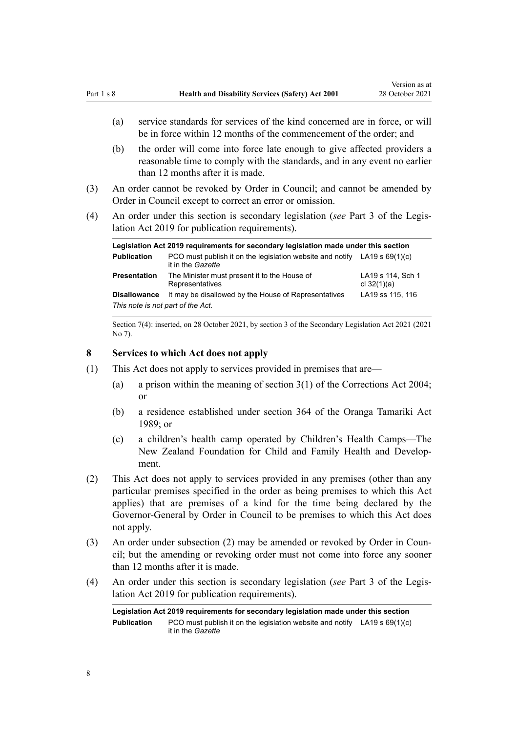- <span id="page-7-0"></span>(a) service standards for services of the kind concerned are in force, or will be in force within 12 months of the commencement of the order; and
- (b) the order will come into force late enough to give affected providers a reasonable time to comply with the standards, and in any event no earlier than 12 months after it is made.
- (3) An order cannot be revoked by Order in Council; and cannot be amended by Order in Council except to correct an error or omission.
- (4) An order under this section is secondary legislation (*see* [Part 3](http://legislation.govt.nz/pdflink.aspx?id=DLM7298343) of the Legis‐ lation Act 2019 for publication requirements).

| Legislation Act 2019 requirements for secondary legislation made under this section |                                                                                                  |                                    |  |
|-------------------------------------------------------------------------------------|--------------------------------------------------------------------------------------------------|------------------------------------|--|
| <b>Publication</b>                                                                  | PCO must publish it on the legislation website and notify LA19 s $69(1)(c)$<br>it in the Gazette |                                    |  |
| <b>Presentation</b>                                                                 | The Minister must present it to the House of<br>Representatives                                  | LA19 s 114, Sch 1<br>cl $32(1)(a)$ |  |
| <b>Disallowance</b>                                                                 | It may be disallowed by the House of Representatives                                             | LA19 ss 115, 116                   |  |
| This note is not part of the Act.                                                   |                                                                                                  |                                    |  |

Section 7(4): inserted, on 28 October 2021, by [section 3](http://legislation.govt.nz/pdflink.aspx?id=LMS268932) of the Secondary Legislation Act 2021 (2021 No 7).

#### **8 Services to which Act does not apply**

- (1) This Act does not apply to services provided in premises that are—
	- (a) a prison within the meaning of [section 3\(1\)](http://legislation.govt.nz/pdflink.aspx?id=DLM294857) of the Corrections Act 2004; or
	- (b) a residence established under [section 364](http://legislation.govt.nz/pdflink.aspx?id=DLM154320) of the Oranga Tamariki Act 1989; or
	- (c) a children's health camp operated by Children's Health Camps—The New Zealand Foundation for Child and Family Health and Develop‐ ment.
- (2) This Act does not apply to services provided in any premises (other than any particular premises specified in the order as being premises to which this Act applies) that are premises of a kind for the time being declared by the Governor-General by Order in Council to be premises to which this Act does not apply.
- (3) An order under subsection (2) may be amended or revoked by Order in Council; but the amending or revoking order must not come into force any sooner than 12 months after it is made.
- (4) An order under this section is secondary legislation (*see* [Part 3](http://legislation.govt.nz/pdflink.aspx?id=DLM7298343) of the Legis‐ lation Act 2019 for publication requirements).

**Legislation Act 2019 requirements for secondary legislation made under this section Publication** PCO must publish it on the legislation website and notify LA19 [s 69\(1\)\(c\)](http://legislation.govt.nz/pdflink.aspx?id=DLM7298353) it in the *Gazette*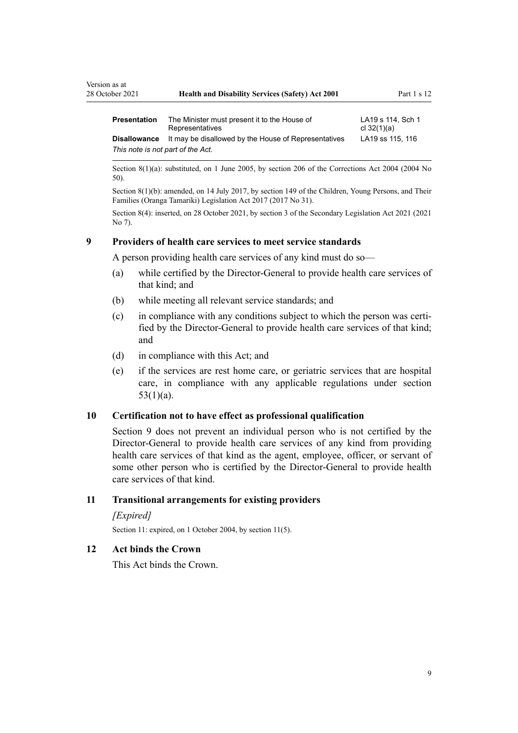| 28 October 2021                   | <b>Health and Disability Services (Safety) Act 2001</b>         | Part $1 s 12$                      |
|-----------------------------------|-----------------------------------------------------------------|------------------------------------|
| <b>Presentation</b>               | The Minister must present it to the House of<br>Representatives | LA19 s 114, Sch 1<br>cl $32(1)(a)$ |
| <b>Disallowance</b>               | It may be disallowed by the House of Representatives            | LA19 ss 115, 116                   |
| This note is not part of the Act. |                                                                 |                                    |

Section 8(1)(a): substituted, on 1 June 2005, by [section 206](http://legislation.govt.nz/pdflink.aspx?id=DLM297136) of the Corrections Act 2004 (2004 No 50).

Section 8(1)(b): amended, on 14 July 2017, by [section 149](http://legislation.govt.nz/pdflink.aspx?id=DLM7287401) of the Children, Young Persons, and Their Families (Oranga Tamariki) Legislation Act 2017 (2017 No 31).

Section 8(4): inserted, on 28 October 2021, by [section 3](http://legislation.govt.nz/pdflink.aspx?id=LMS268932) of the Secondary Legislation Act 2021 (2021 No 7).

#### **9 Providers of health care services to meet service standards**

A person providing health care services of any kind must do so—

- (a) while certified by the Director-General to provide health care services of that kind; and
- (b) while meeting all relevant service standards; and
- (c) in compliance with any conditions subject to which the person was certified by the Director-General to provide health care services of that kind; and
- (d) in compliance with this Act; and
- (e) if the services are rest home care, or geriatric services that are hospital care, in compliance with any applicable regulations under [section](#page-30-0) [53\(1\)\(a\).](#page-30-0)

## **10 Certification not to have effect as professional qualification**

Section 9 does not prevent an individual person who is not certified by the Director-General to provide health care services of any kind from providing health care services of that kind as the agent, employee, officer, or servant of some other person who is certified by the Director-General to provide health care services of that kind.

#### **11 Transitional arrangements for existing providers**

#### *[Expired]*

<span id="page-8-0"></span>Version as at

Section 11: expired, on 1 October 2004, by section 11(5).

# **12 Act binds the Crown**

This Act binds the Crown.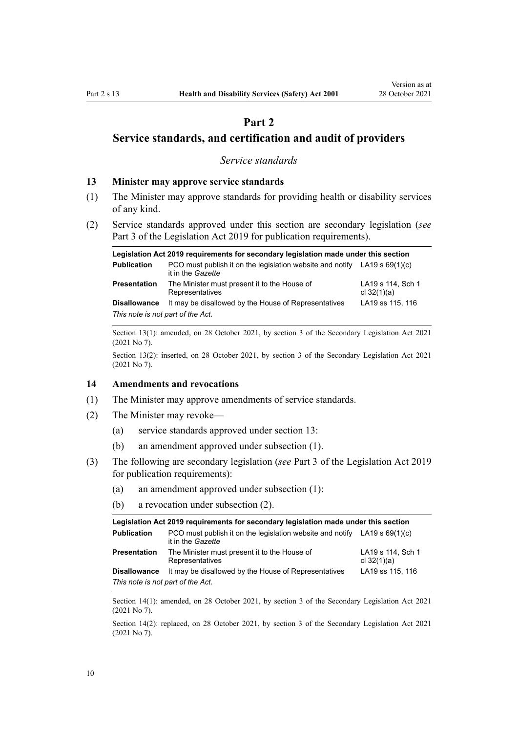# **Part 2**

<span id="page-9-0"></span>**Service standards, and certification and audit of providers**

*Service standards*

#### **13 Minister may approve service standards**

- (1) The Minister may approve standards for providing health or disability services of any kind.
- (2) Service standards approved under this section are secondary legislation (*see* [Part 3](http://legislation.govt.nz/pdflink.aspx?id=DLM7298343) of the Legislation Act 2019 for publication requirements).

|                                   | Legislation Act 2019 requirements for secondary legislation made under this section              |                                    |
|-----------------------------------|--------------------------------------------------------------------------------------------------|------------------------------------|
| <b>Publication</b>                | PCO must publish it on the legislation website and notify LA19 s $69(1)(c)$<br>it in the Gazette |                                    |
| <b>Presentation</b>               | The Minister must present it to the House of<br>Representatives                                  | LA19 s 114, Sch 1<br>cl $32(1)(a)$ |
| <b>Disallowance</b>               | It may be disallowed by the House of Representatives                                             | LA19 ss 115, 116                   |
| This note is not part of the Act. |                                                                                                  |                                    |

Section 13(1): amended, on 28 October 2021, by [section 3](http://legislation.govt.nz/pdflink.aspx?id=LMS268932) of the Secondary Legislation Act 2021 (2021 No 7).

Section 13(2): inserted, on 28 October 2021, by [section 3](http://legislation.govt.nz/pdflink.aspx?id=LMS268932) of the Secondary Legislation Act 2021 (2021 No 7).

#### **14 Amendments and revocations**

- (1) The Minister may approve amendments of service standards.
- (2) The Minister may revoke—
	- (a) service standards approved under section 13:
	- (b) an amendment approved under subsection (1).
- (3) The following are secondary legislation (*see* [Part 3](http://legislation.govt.nz/pdflink.aspx?id=DLM7298343) of the Legislation Act 2019 for publication requirements):
	- (a) an amendment approved under subsection (1):
	- (b) a revocation under subsection (2).

| Legislation Act 2019 requirements for secondary legislation made under this section |                                                                                                  |                                    |  |
|-------------------------------------------------------------------------------------|--------------------------------------------------------------------------------------------------|------------------------------------|--|
| <b>Publication</b>                                                                  | PCO must publish it on the legislation website and notify LA19 s $69(1)(c)$<br>it in the Gazette |                                    |  |
| <b>Presentation</b>                                                                 | The Minister must present it to the House of<br>Representatives                                  | LA19 s 114, Sch 1<br>cl $32(1)(a)$ |  |
| <b>Disallowance</b>                                                                 | It may be disallowed by the House of Representatives                                             | LA19 ss 115, 116                   |  |
| This note is not part of the Act.                                                   |                                                                                                  |                                    |  |

Section 14(1): amended, on 28 October 2021, by [section 3](http://legislation.govt.nz/pdflink.aspx?id=LMS268932) of the Secondary Legislation Act 2021 (2021 No 7).

Section 14(2): replaced, on 28 October 2021, by [section 3](http://legislation.govt.nz/pdflink.aspx?id=LMS268932) of the Secondary Legislation Act 2021 (2021 No 7).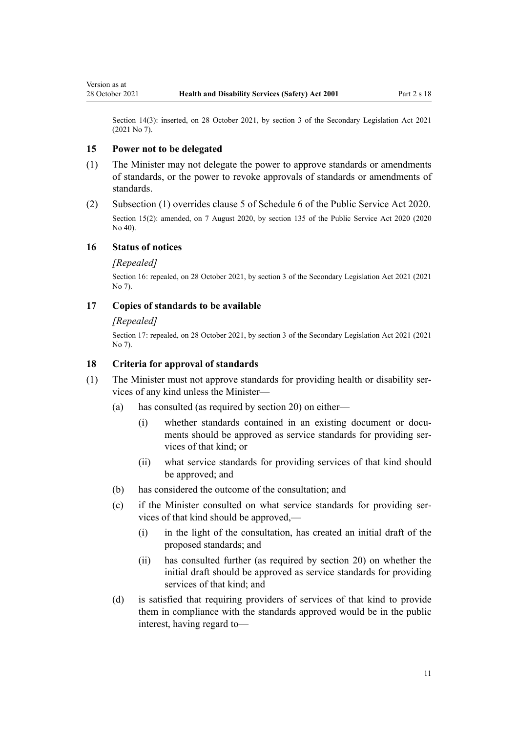<span id="page-10-0"></span>Section 14(3): inserted, on 28 October 2021, by [section 3](http://legislation.govt.nz/pdflink.aspx?id=LMS268932) of the Secondary Legislation Act 2021 (2021 No 7).

#### **15 Power not to be delegated**

- (1) The Minister may not delegate the power to approve standards or amendments of standards, or the power to revoke approvals of standards or amendments of standards.
- (2) Subsection (1) overrides [clause 5](http://legislation.govt.nz/pdflink.aspx?id=LMS356993) of Schedule 6 of the Public Service Act 2020. Section 15(2): amended, on 7 August 2020, by [section 135](http://legislation.govt.nz/pdflink.aspx?id=LMS176959) of the Public Service Act 2020 (2020 No 40).

# **16 Status of notices**

#### *[Repealed]*

Section 16: repealed, on 28 October 2021, by [section 3](http://legislation.govt.nz/pdflink.aspx?id=LMS268932) of the Secondary Legislation Act 2021 (2021 No 7).

#### **17 Copies of standards to be available**

## *[Repealed]*

Section 17: repealed, on 28 October 2021, by [section 3](http://legislation.govt.nz/pdflink.aspx?id=LMS268932) of the Secondary Legislation Act 2021 (2021 No 7).

#### **18 Criteria for approval of standards**

- (1) The Minister must not approve standards for providing health or disability ser‐ vices of any kind unless the Minister—
	- (a) has consulted (as required by [section 20](#page-11-0)) on either—
		- (i) whether standards contained in an existing document or documents should be approved as service standards for providing services of that kind; or
		- (ii) what service standards for providing services of that kind should be approved; and
	- (b) has considered the outcome of the consultation; and
	- (c) if the Minister consulted on what service standards for providing ser‐ vices of that kind should be approved,—
		- (i) in the light of the consultation, has created an initial draft of the proposed standards; and
		- (ii) has consulted further (as required by [section 20\)](#page-11-0) on whether the initial draft should be approved as service standards for providing services of that kind; and
	- (d) is satisfied that requiring providers of services of that kind to provide them in compliance with the standards approved would be in the public interest, having regard to—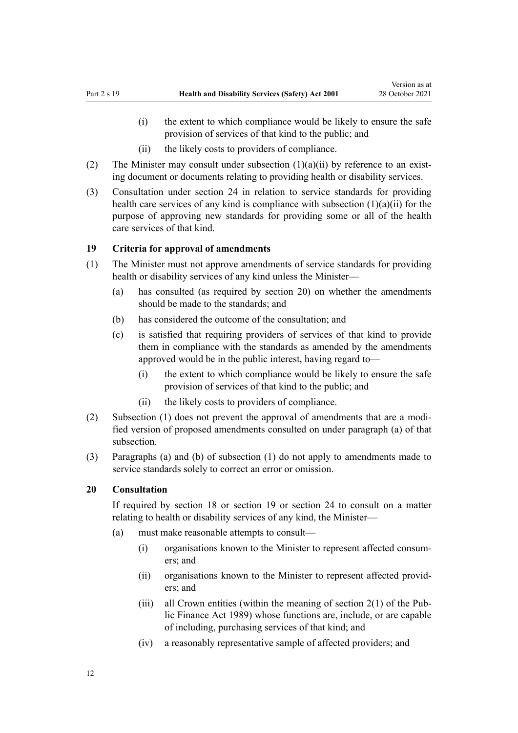- <span id="page-11-0"></span>(i) the extent to which compliance would be likely to ensure the safe provision of services of that kind to the public; and
- (ii) the likely costs to providers of compliance.
- (2) The Minister may consult under subsection  $(1)(a)(ii)$  by reference to an existing document or documents relating to providing health or disability services.
- (3) Consultation under [section 24](#page-14-0) in relation to service standards for providing health care services of any kind is compliance with subsection (1)(a)(ii) for the purpose of approving new standards for providing some or all of the health care services of that kind.

#### **19 Criteria for approval of amendments**

- (1) The Minister must not approve amendments of service standards for providing health or disability services of any kind unless the Minister—
	- (a) has consulted (as required by section 20) on whether the amendments should be made to the standards; and
	- (b) has considered the outcome of the consultation; and
	- (c) is satisfied that requiring providers of services of that kind to provide them in compliance with the standards as amended by the amendments approved would be in the public interest, having regard to—
		- (i) the extent to which compliance would be likely to ensure the safe provision of services of that kind to the public; and
		- (ii) the likely costs to providers of compliance.
- (2) Subsection (1) does not prevent the approval of amendments that are a modi‐ fied version of proposed amendments consulted on under paragraph (a) of that subsection.
- (3) Paragraphs (a) and (b) of subsection (1) do not apply to amendments made to service standards solely to correct an error or omission.

## **20 Consultation**

If required by [section 18](#page-10-0) or section 19 or [section 24](#page-14-0) to consult on a matter relating to health or disability services of any kind, the Minister—

- (a) must make reasonable attempts to consult—
	- (i) organisations known to the Minister to represent affected consum‐ ers; and
	- (ii) organisations known to the Minister to represent affected provid‐ ers; and
	- (iii) all Crown entities (within the meaning of section  $2(1)$  of the Public Finance Act 1989) whose functions are, include, or are capable of including, purchasing services of that kind; and
	- (iv) a reasonably representative sample of affected providers; and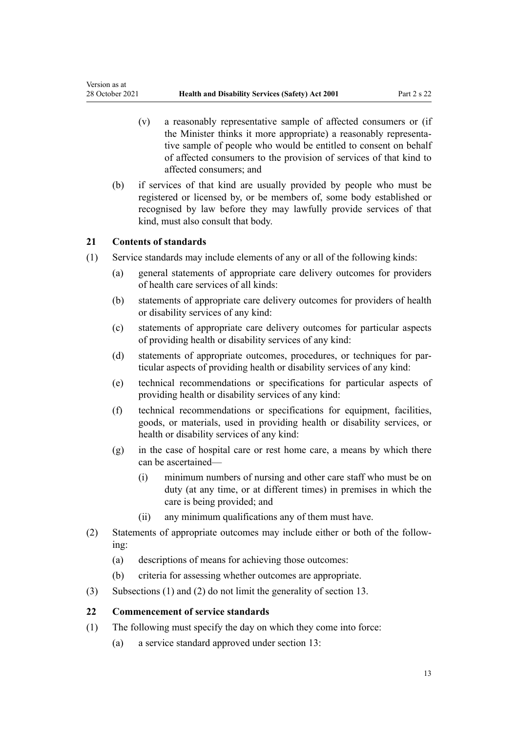- (v) a reasonably representative sample of affected consumers or (if the Minister thinks it more appropriate) a reasonably representa‐ tive sample of people who would be entitled to consent on behalf of affected consumers to the provision of services of that kind to affected consumers; and
- (b) if services of that kind are usually provided by people who must be registered or licensed by, or be members of, some body established or recognised by law before they may lawfully provide services of that kind, must also consult that body.

#### **21 Contents of standards**

<span id="page-12-0"></span>Version as at

- (1) Service standards may include elements of any or all of the following kinds:
	- (a) general statements of appropriate care delivery outcomes for providers of health care services of all kinds:
	- (b) statements of appropriate care delivery outcomes for providers of health or disability services of any kind:
	- (c) statements of appropriate care delivery outcomes for particular aspects of providing health or disability services of any kind:
	- (d) statements of appropriate outcomes, procedures, or techniques for par‐ ticular aspects of providing health or disability services of any kind:
	- (e) technical recommendations or specifications for particular aspects of providing health or disability services of any kind:
	- (f) technical recommendations or specifications for equipment, facilities, goods, or materials, used in providing health or disability services, or health or disability services of any kind:
	- (g) in the case of hospital care or rest home care, a means by which there can be ascertained—
		- (i) minimum numbers of nursing and other care staff who must be on duty (at any time, or at different times) in premises in which the care is being provided; and
		- (ii) any minimum qualifications any of them must have.
- (2) Statements of appropriate outcomes may include either or both of the follow‐ ing:
	- (a) descriptions of means for achieving those outcomes:
	- (b) criteria for assessing whether outcomes are appropriate.
- (3) Subsections (1) and (2) do not limit the generality of [section 13.](#page-9-0)

#### **22 Commencement of service standards**

- (1) The following must specify the day on which they come into force:
	- (a) a service standard approved under [section 13](#page-9-0):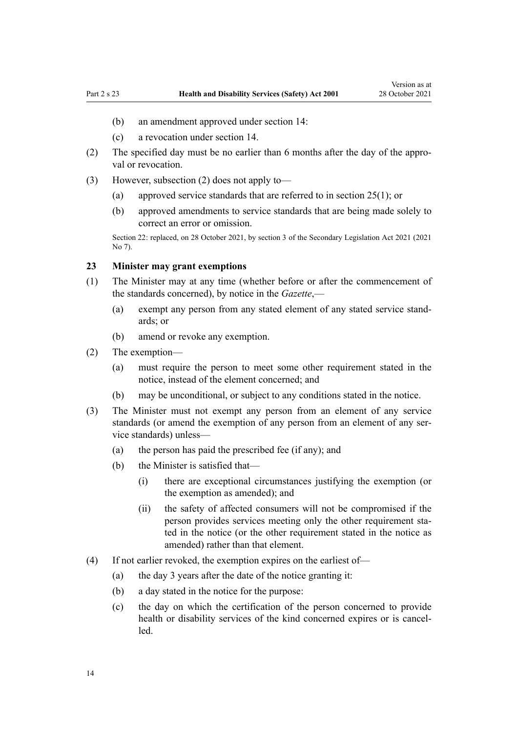- <span id="page-13-0"></span>(b) an amendment approved under [section 14](#page-9-0):
- (c) a revocation under [section 14.](#page-9-0)
- (2) The specified day must be no earlier than 6 months after the day of the appro‐ val or revocation.
- (3) However, subsection (2) does not apply to—
	- (a) approved service standards that are referred to in [section 25\(1\);](#page-14-0) or
	- (b) approved amendments to service standards that are being made solely to correct an error or omission.

Section 22: replaced, on 28 October 2021, by [section 3](http://legislation.govt.nz/pdflink.aspx?id=LMS268932) of the Secondary Legislation Act 2021 (2021 No 7).

#### **23 Minister may grant exemptions**

- (1) The Minister may at any time (whether before or after the commencement of the standards concerned), by notice in the *Gazette*,—
	- (a) exempt any person from any stated element of any stated service stand‐ ards; or
	- (b) amend or revoke any exemption.
- (2) The exemption—
	- (a) must require the person to meet some other requirement stated in the notice, instead of the element concerned; and
	- (b) may be unconditional, or subject to any conditions stated in the notice.
- (3) The Minister must not exempt any person from an element of any service standards (or amend the exemption of any person from an element of any service standards) unless—
	- (a) the person has paid the prescribed fee (if any); and
	- (b) the Minister is satisfied that—
		- (i) there are exceptional circumstances justifying the exemption (or the exemption as amended); and
		- (ii) the safety of affected consumers will not be compromised if the person provides services meeting only the other requirement stated in the notice (or the other requirement stated in the notice as amended) rather than that element.
- (4) If not earlier revoked, the exemption expires on the earliest of—
	- (a) the day 3 years after the date of the notice granting it:
	- (b) a day stated in the notice for the purpose:
	- (c) the day on which the certification of the person concerned to provide health or disability services of the kind concerned expires or is cancelled.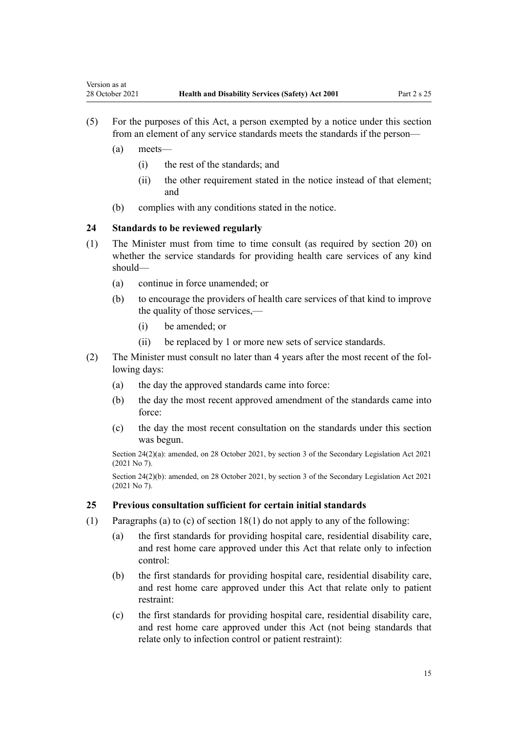- (5) For the purposes of this Act, a person exempted by a notice under this section from an element of any service standards meets the standards if the person—
	- (a) meets—

<span id="page-14-0"></span>Version as at

- (i) the rest of the standards; and
- (ii) the other requirement stated in the notice instead of that element; and
- (b) complies with any conditions stated in the notice.

## **24 Standards to be reviewed regularly**

- (1) The Minister must from time to time consult (as required by [section 20](#page-11-0)) on whether the service standards for providing health care services of any kind should—
	- (a) continue in force unamended; or
	- (b) to encourage the providers of health care services of that kind to improve the quality of those services,—
		- (i) be amended; or
		- (ii) be replaced by 1 or more new sets of service standards.
- (2) The Minister must consult no later than 4 years after the most recent of the fol‐ lowing days:
	- (a) the day the approved standards came into force:
	- (b) the day the most recent approved amendment of the standards came into force:
	- (c) the day the most recent consultation on the standards under this section was begun.

Section 24(2)(a): amended, on 28 October 2021, by [section 3](http://legislation.govt.nz/pdflink.aspx?id=LMS268932) of the Secondary Legislation Act 2021 (2021 No 7).

Section 24(2)(b): amended, on 28 October 2021, by [section 3](http://legislation.govt.nz/pdflink.aspx?id=LMS268932) of the Secondary Legislation Act 2021 (2021 No 7).

## **25 Previous consultation sufficient for certain initial standards**

- (1) Paragraphs (a) to (c) of [section 18\(1\)](#page-10-0) do not apply to any of the following:
	- (a) the first standards for providing hospital care, residential disability care, and rest home care approved under this Act that relate only to infection control:
	- (b) the first standards for providing hospital care, residential disability care, and rest home care approved under this Act that relate only to patient restraint:
	- (c) the first standards for providing hospital care, residential disability care, and rest home care approved under this Act (not being standards that relate only to infection control or patient restraint):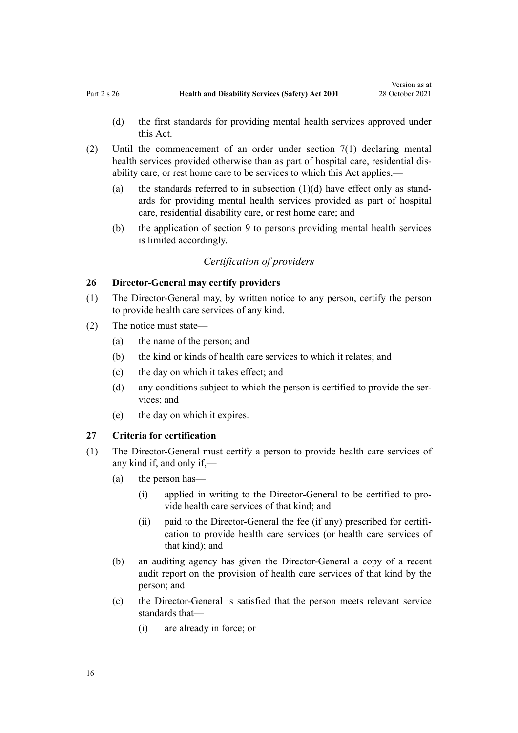- <span id="page-15-0"></span>(d) the first standards for providing mental health services approved under this Act.
- (2) Until the commencement of an order under [section 7\(1\)](#page-6-0) declaring mental health services provided otherwise than as part of hospital care, residential disability care, or rest home care to be services to which this Act applies,—
	- (a) the standards referred to in subsection  $(1)(d)$  have effect only as standards for providing mental health services provided as part of hospital care, residential disability care, or rest home care; and
	- (b) the application of [section 9](#page-8-0) to persons providing mental health services is limited accordingly.

# *Certification of providers*

## **26 Director-General may certify providers**

- (1) The Director-General may, by written notice to any person, certify the person to provide health care services of any kind.
- (2) The notice must state—
	- (a) the name of the person; and
	- (b) the kind or kinds of health care services to which it relates; and
	- (c) the day on which it takes effect; and
	- (d) any conditions subject to which the person is certified to provide the ser‐ vices; and
	- (e) the day on which it expires.

#### **27 Criteria for certification**

- (1) The Director-General must certify a person to provide health care services of any kind if, and only if,—
	- (a) the person has—
		- (i) applied in writing to the Director-General to be certified to pro‐ vide health care services of that kind; and
		- (ii) paid to the Director-General the fee (if any) prescribed for certifi‐ cation to provide health care services (or health care services of that kind); and
	- (b) an auditing agency has given the Director-General a copy of a recent audit report on the provision of health care services of that kind by the person; and
	- (c) the Director-General is satisfied that the person meets relevant service standards that—
		- (i) are already in force; or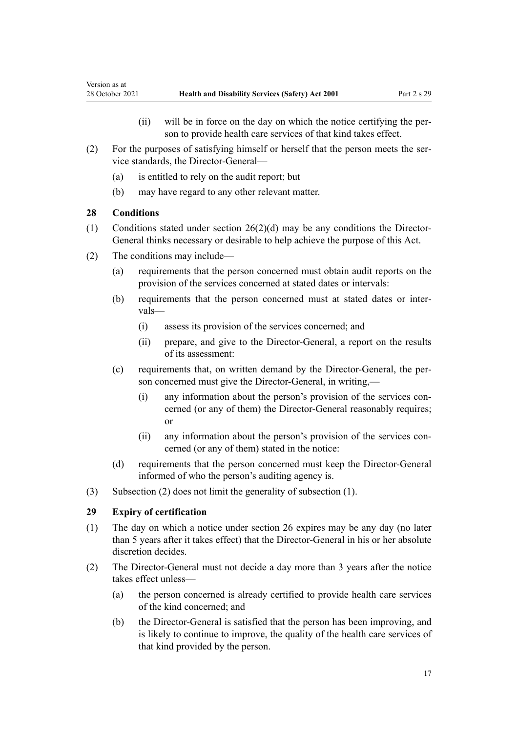- (ii) will be in force on the day on which the notice certifying the per‐ son to provide health care services of that kind takes effect.
- <span id="page-16-0"></span>(2) For the purposes of satisfying himself or herself that the person meets the ser‐ vice standards, the Director-General—
	- (a) is entitled to rely on the audit report; but
	- (b) may have regard to any other relevant matter.

#### **28 Conditions**

- (1) Conditions stated under [section 26\(2\)\(d\)](#page-15-0) may be any conditions the Director-General thinks necessary or desirable to help achieve the purpose of this Act.
- (2) The conditions may include—
	- (a) requirements that the person concerned must obtain audit reports on the provision of the services concerned at stated dates or intervals:
	- (b) requirements that the person concerned must at stated dates or inter‐ vals—
		- (i) assess its provision of the services concerned; and
		- (ii) prepare, and give to the Director-General, a report on the results of its assessment:
	- (c) requirements that, on written demand by the Director-General, the per‐ son concerned must give the Director-General, in writing,
		- (i) any information about the person's provision of the services con‐ cerned (or any of them) the Director-General reasonably requires; or
		- (ii) any information about the person's provision of the services concerned (or any of them) stated in the notice:
	- (d) requirements that the person concerned must keep the Director-General informed of who the person's auditing agency is.
- (3) Subsection (2) does not limit the generality of subsection (1).

## **29 Expiry of certification**

- (1) The day on which a notice under [section 26](#page-15-0) expires may be any day (no later than 5 years after it takes effect) that the Director-General in his or her absolute discretion decides.
- (2) The Director-General must not decide a day more than 3 years after the notice takes effect unless—
	- (a) the person concerned is already certified to provide health care services of the kind concerned; and
	- (b) the Director-General is satisfied that the person has been improving, and is likely to continue to improve, the quality of the health care services of that kind provided by the person.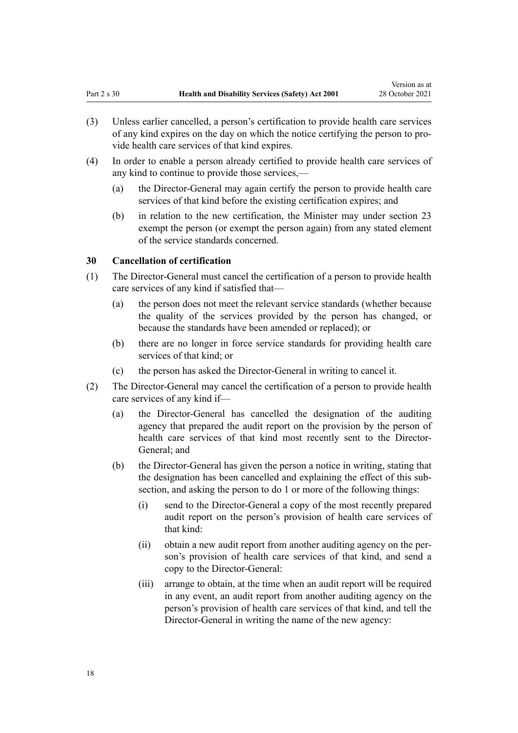- <span id="page-17-0"></span>(3) Unless earlier cancelled, a person's certification to provide health care services of any kind expires on the day on which the notice certifying the person to pro‐ vide health care services of that kind expires.
- (4) In order to enable a person already certified to provide health care services of any kind to continue to provide those services,—
	- (a) the Director-General may again certify the person to provide health care services of that kind before the existing certification expires; and
	- (b) in relation to the new certification, the Minister may under [section 23](#page-13-0) exempt the person (or exempt the person again) from any stated element of the service standards concerned.

#### **30 Cancellation of certification**

- (1) The Director-General must cancel the certification of a person to provide health care services of any kind if satisfied that—
	- (a) the person does not meet the relevant service standards (whether because the quality of the services provided by the person has changed, or because the standards have been amended or replaced); or
	- (b) there are no longer in force service standards for providing health care services of that kind; or
	- (c) the person has asked the Director-General in writing to cancel it.
- (2) The Director-General may cancel the certification of a person to provide health care services of any kind if—
	- (a) the Director-General has cancelled the designation of the auditing agency that prepared the audit report on the provision by the person of health care services of that kind most recently sent to the Director-General; and
	- (b) the Director-General has given the person a notice in writing, stating that the designation has been cancelled and explaining the effect of this subsection, and asking the person to do 1 or more of the following things:
		- (i) send to the Director-General a copy of the most recently prepared audit report on the person's provision of health care services of that kind:
		- (ii) obtain a new audit report from another auditing agency on the per‐ son's provision of health care services of that kind, and send a copy to the Director-General:
		- (iii) arrange to obtain, at the time when an audit report will be required in any event, an audit report from another auditing agency on the person's provision of health care services of that kind, and tell the Director-General in writing the name of the new agency: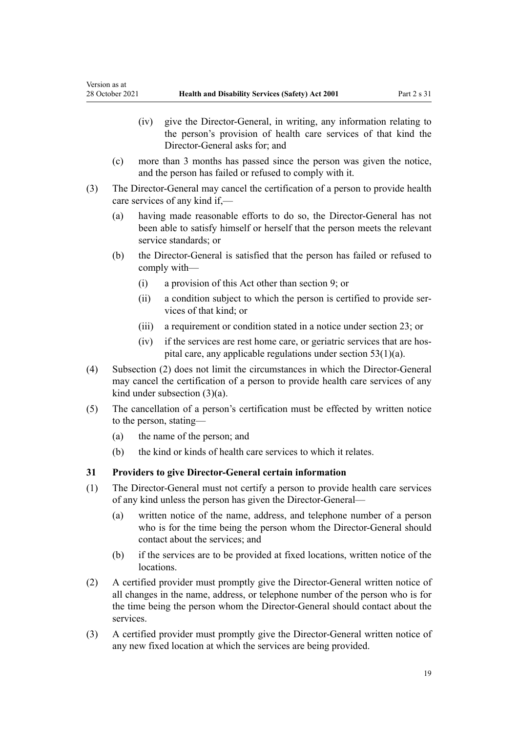- (iv) give the Director-General, in writing, any information relating to the person's provision of health care services of that kind the Director-General asks for; and
- (c) more than 3 months has passed since the person was given the notice, and the person has failed or refused to comply with it.
- (3) The Director-General may cancel the certification of a person to provide health care services of any kind if,—
	- (a) having made reasonable efforts to do so, the Director-General has not been able to satisfy himself or herself that the person meets the relevant service standards; or
	- (b) the Director-General is satisfied that the person has failed or refused to comply with—
		- (i) a provision of this Act other than [section 9](#page-8-0); or
		- (ii) a condition subject to which the person is certified to provide ser‐ vices of that kind; or
		- (iii) a requirement or condition stated in a notice under [section 23;](#page-13-0) or
		- (iv) if the services are rest home care, or geriatric services that are hos‐ pital care, any applicable regulations under [section 53\(1\)\(a\)](#page-30-0).
- (4) Subsection (2) does not limit the circumstances in which the Director-General may cancel the certification of a person to provide health care services of any kind under subsection (3)(a).
- (5) The cancellation of a person's certification must be effected by written notice to the person, stating—
	- (a) the name of the person; and

<span id="page-18-0"></span>Version as at

(b) the kind or kinds of health care services to which it relates.

#### **31 Providers to give Director-General certain information**

- (1) The Director-General must not certify a person to provide health care services of any kind unless the person has given the Director-General—
	- (a) written notice of the name, address, and telephone number of a person who is for the time being the person whom the Director-General should contact about the services; and
	- (b) if the services are to be provided at fixed locations, written notice of the locations.
- (2) A certified provider must promptly give the Director-General written notice of all changes in the name, address, or telephone number of the person who is for the time being the person whom the Director-General should contact about the services.
- (3) A certified provider must promptly give the Director-General written notice of any new fixed location at which the services are being provided.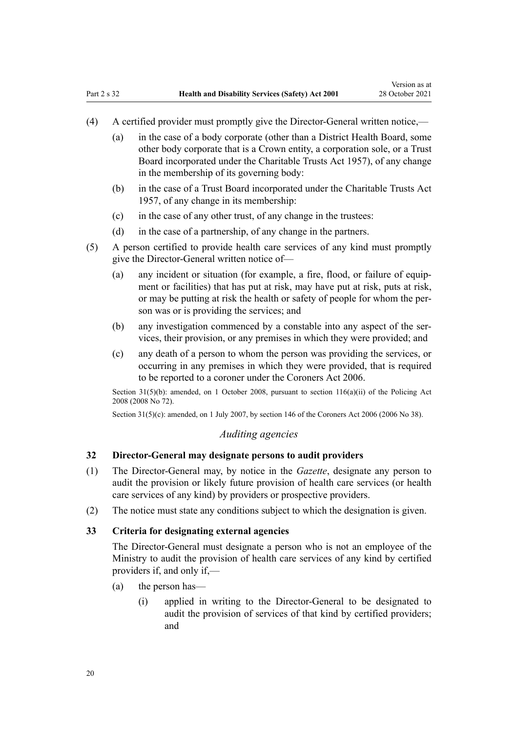- <span id="page-19-0"></span>(4) A certified provider must promptly give the Director-General written notice,—
	- (a) in the case of a body corporate (other than a District Health Board, some other body corporate that is a Crown entity, a corporation sole, or a Trust Board incorporated under the [Charitable Trusts Act 1957\)](http://legislation.govt.nz/pdflink.aspx?id=DLM308795), of any change in the membership of its governing body:
	- (b) in the case of a Trust Board incorporated under the Charitable Trusts Act 1957, of any change in its membership:
	- (c) in the case of any other trust, of any change in the trustees:
	- (d) in the case of a partnership, of any change in the partners.
- (5) A person certified to provide health care services of any kind must promptly give the Director-General written notice of—
	- (a) any incident or situation (for example, a fire, flood, or failure of equip‐ ment or facilities) that has put at risk, may have put at risk, puts at risk, or may be putting at risk the health or safety of people for whom the per‐ son was or is providing the services; and
	- (b) any investigation commenced by a constable into any aspect of the services, their provision, or any premises in which they were provided; and
	- (c) any death of a person to whom the person was providing the services, or occurring in any premises in which they were provided, that is required to be reported to a coroner under the [Coroners Act 2006](http://legislation.govt.nz/pdflink.aspx?id=DLM377056).

Section 31(5)(b): amended, on 1 October 2008, pursuant to [section 116\(a\)\(ii\)](http://legislation.govt.nz/pdflink.aspx?id=DLM1102349) of the Policing Act 2008 (2008 No 72).

Section 31(5)(c): amended, on 1 July 2007, by [section 146](http://legislation.govt.nz/pdflink.aspx?id=DLM378303) of the Coroners Act 2006 (2006 No 38).

## *Auditing agencies*

# **32 Director-General may designate persons to audit providers**

- (1) The Director-General may, by notice in the *Gazette*, designate any person to audit the provision or likely future provision of health care services (or health care services of any kind) by providers or prospective providers.
- (2) The notice must state any conditions subject to which the designation is given.

#### **33 Criteria for designating external agencies**

The Director-General must designate a person who is not an employee of the Ministry to audit the provision of health care services of any kind by certified providers if, and only if,—

- (a) the person has—
	- (i) applied in writing to the Director-General to be designated to audit the provision of services of that kind by certified providers; and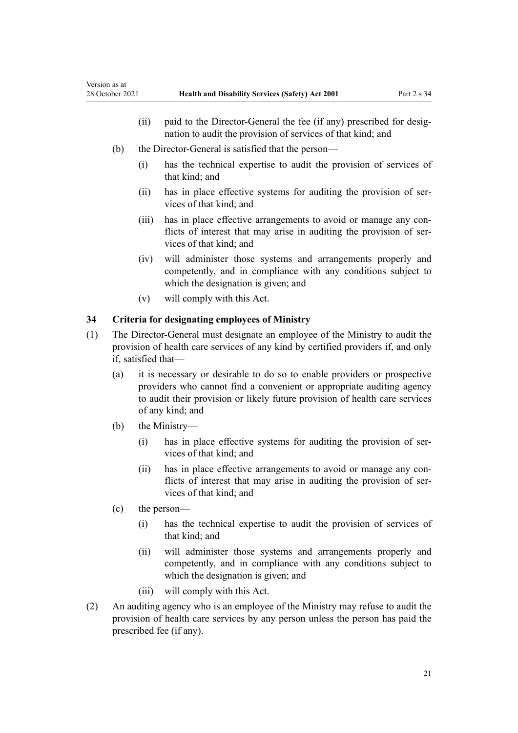- <span id="page-20-0"></span>(ii) paid to the Director-General the fee (if any) prescribed for desig‐ nation to audit the provision of services of that kind; and
- (b) the Director-General is satisfied that the person—
	- (i) has the technical expertise to audit the provision of services of that kind; and
	- (ii) has in place effective systems for auditing the provision of services of that kind; and
	- (iii) has in place effective arrangements to avoid or manage any conflicts of interest that may arise in auditing the provision of services of that kind; and
	- (iv) will administer those systems and arrangements properly and competently, and in compliance with any conditions subject to which the designation is given; and
	- (v) will comply with this Act.

# **34 Criteria for designating employees of Ministry**

- (1) The Director-General must designate an employee of the Ministry to audit the provision of health care services of any kind by certified providers if, and only if, satisfied that—
	- (a) it is necessary or desirable to do so to enable providers or prospective providers who cannot find a convenient or appropriate auditing agency to audit their provision or likely future provision of health care services of any kind; and
	- (b) the Ministry—
		- (i) has in place effective systems for auditing the provision of services of that kind; and
		- (ii) has in place effective arrangements to avoid or manage any conflicts of interest that may arise in auditing the provision of services of that kind; and
	- (c) the person—
		- (i) has the technical expertise to audit the provision of services of that kind; and
		- (ii) will administer those systems and arrangements properly and competently, and in compliance with any conditions subject to which the designation is given; and
		- (iii) will comply with this Act.
- (2) An auditing agency who is an employee of the Ministry may refuse to audit the provision of health care services by any person unless the person has paid the prescribed fee (if any).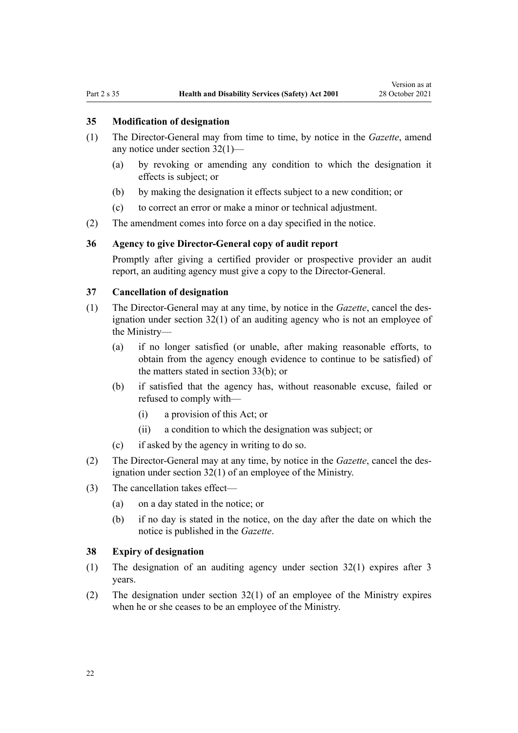#### <span id="page-21-0"></span>**35 Modification of designation**

- (1) The Director-General may from time to time, by notice in the *Gazette*, amend any notice under [section 32\(1\)](#page-19-0)—
	- (a) by revoking or amending any condition to which the designation it effects is subject; or
	- (b) by making the designation it effects subject to a new condition; or
	- (c) to correct an error or make a minor or technical adjustment.
- (2) The amendment comes into force on a day specified in the notice.

## **36 Agency to give Director-General copy of audit report**

Promptly after giving a certified provider or prospective provider an audit report, an auditing agency must give a copy to the Director-General.

## **37 Cancellation of designation**

- (1) The Director-General may at any time, by notice in the *Gazette*, cancel the des‐ ignation under [section 32\(1\)](#page-19-0) of an auditing agency who is not an employee of the Ministry—
	- (a) if no longer satisfied (or unable, after making reasonable efforts, to obtain from the agency enough evidence to continue to be satisfied) of the matters stated in [section 33\(b\);](#page-19-0) or
	- (b) if satisfied that the agency has, without reasonable excuse, failed or refused to comply with—
		- (i) a provision of this Act; or
		- (ii) a condition to which the designation was subject; or
	- (c) if asked by the agency in writing to do so.
- (2) The Director-General may at any time, by notice in the *Gazette*, cancel the des‐ ignation under [section 32\(1\)](#page-19-0) of an employee of the Ministry.
- (3) The cancellation takes effect—
	- (a) on a day stated in the notice; or
	- (b) if no day is stated in the notice, on the day after the date on which the notice is published in the *Gazette*.

#### **38 Expiry of designation**

- (1) The designation of an auditing agency under [section 32\(1\)](#page-19-0) expires after 3 years.
- (2) The designation under [section 32\(1\)](#page-19-0) of an employee of the Ministry expires when he or she ceases to be an employee of the Ministry.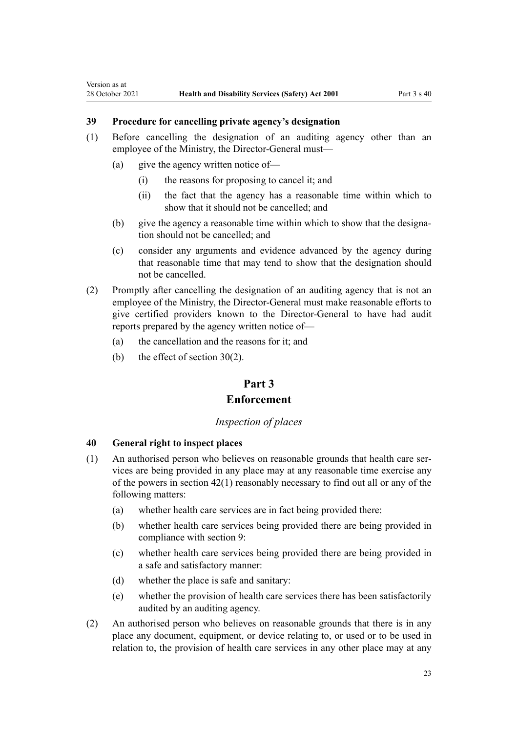# **39 Procedure for cancelling private agency's designation**

- (1) Before cancelling the designation of an auditing agency other than an employee of the Ministry, the Director-General must—
	- (a) give the agency written notice of—

<span id="page-22-0"></span>Version as at

- (i) the reasons for proposing to cancel it; and
- (ii) the fact that the agency has a reasonable time within which to show that it should not be cancelled; and
- (b) give the agency a reasonable time within which to show that the designation should not be cancelled; and
- (c) consider any arguments and evidence advanced by the agency during that reasonable time that may tend to show that the designation should not be cancelled.
- (2) Promptly after cancelling the designation of an auditing agency that is not an employee of the Ministry, the Director-General must make reasonable efforts to give certified providers known to the Director-General to have had audit reports prepared by the agency written notice of—
	- (a) the cancellation and the reasons for it; and
	- (b) the effect of [section 30\(2\).](#page-17-0)

# **Part 3**

# **Enforcement**

#### *Inspection of places*

## **40 General right to inspect places**

- (1) An authorised person who believes on reasonable grounds that health care services are being provided in any place may at any reasonable time exercise any of the powers in [section 42\(1\)](#page-23-0) reasonably necessary to find out all or any of the following matters:
	- (a) whether health care services are in fact being provided there:
	- (b) whether health care services being provided there are being provided in compliance with [section 9:](#page-8-0)
	- (c) whether health care services being provided there are being provided in a safe and satisfactory manner:
	- (d) whether the place is safe and sanitary:
	- (e) whether the provision of health care services there has been satisfactorily audited by an auditing agency.
- (2) An authorised person who believes on reasonable grounds that there is in any place any document, equipment, or device relating to, or used or to be used in relation to, the provision of health care services in any other place may at any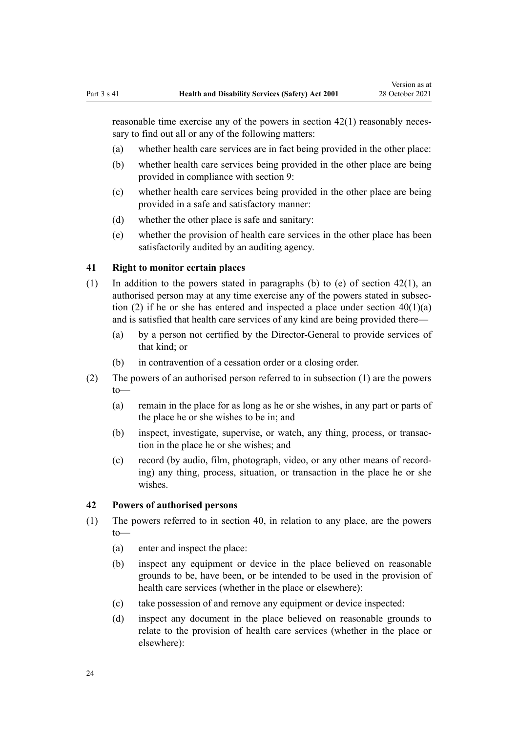<span id="page-23-0"></span>reasonable time exercise any of the powers in section 42(1) reasonably necessary to find out all or any of the following matters:

- (a) whether health care services are in fact being provided in the other place:
- (b) whether health care services being provided in the other place are being provided in compliance with [section 9](#page-8-0):
- (c) whether health care services being provided in the other place are being provided in a safe and satisfactory manner:
- (d) whether the other place is safe and sanitary:
- (e) whether the provision of health care services in the other place has been satisfactorily audited by an auditing agency.

## **41 Right to monitor certain places**

- (1) In addition to the powers stated in paragraphs (b) to (e) of section 42(1), an authorised person may at any time exercise any of the powers stated in subsec‐ tion (2) if he or she has entered and inspected a place under section  $40(1)(a)$ and is satisfied that health care services of any kind are being provided there—
	- (a) by a person not certified by the Director-General to provide services of that kind; or
	- (b) in contravention of a cessation order or a closing order.
- (2) The powers of an authorised person referred to in subsection (1) are the powers to—
	- (a) remain in the place for as long as he or she wishes, in any part or parts of the place he or she wishes to be in; and
	- (b) inspect, investigate, supervise, or watch, any thing, process, or transaction in the place he or she wishes; and
	- (c) record (by audio, film, photograph, video, or any other means of record‐ ing) any thing, process, situation, or transaction in the place he or she wishes.

## **42 Powers of authorised persons**

- (1) The powers referred to in [section 40,](#page-22-0) in relation to any place, are the powers to—
	- (a) enter and inspect the place:
	- (b) inspect any equipment or device in the place believed on reasonable grounds to be, have been, or be intended to be used in the provision of health care services (whether in the place or elsewhere):
	- (c) take possession of and remove any equipment or device inspected:
	- (d) inspect any document in the place believed on reasonable grounds to relate to the provision of health care services (whether in the place or elsewhere):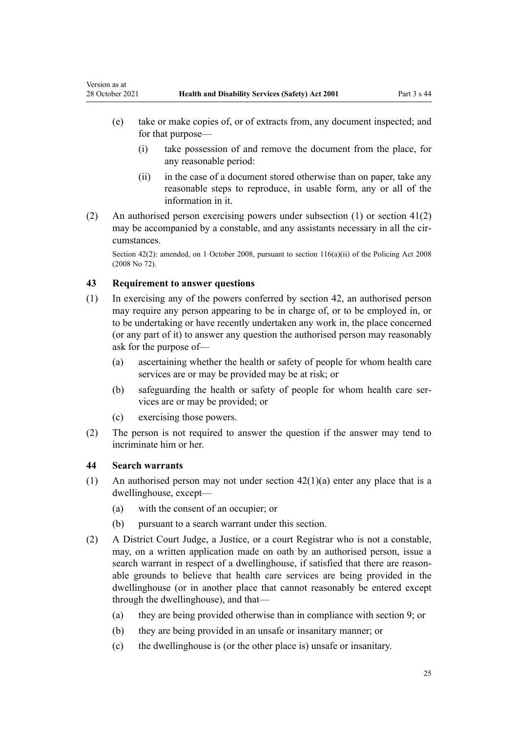- (i) take possession of and remove the document from the place, for any reasonable period:
- (ii) in the case of a document stored otherwise than on paper, take any reasonable steps to reproduce, in usable form, any or all of the information in it.
- (2) An authorised person exercising powers under subsection (1) or [section 41\(2\)](#page-23-0) may be accompanied by a constable, and any assistants necessary in all the circumstances.

Section 42(2): amended, on 1 October 2008, pursuant to [section 116\(a\)\(ii\)](http://legislation.govt.nz/pdflink.aspx?id=DLM1102349) of the Policing Act 2008 (2008 No 72).

## **43 Requirement to answer questions**

<span id="page-24-0"></span>Version as at

- (1) In exercising any of the powers conferred by [section 42,](#page-23-0) an authorised person may require any person appearing to be in charge of, or to be employed in, or to be undertaking or have recently undertaken any work in, the place concerned (or any part of it) to answer any question the authorised person may reasonably ask for the purpose of—
	- (a) ascertaining whether the health or safety of people for whom health care services are or may be provided may be at risk; or
	- (b) safeguarding the health or safety of people for whom health care services are or may be provided; or
	- (c) exercising those powers.
- (2) The person is not required to answer the question if the answer may tend to incriminate him or her.

# **44 Search warrants**

- (1) An authorised person may not under section  $42(1)(a)$  enter any place that is a dwellinghouse, except—
	- (a) with the consent of an occupier; or
	- (b) pursuant to a search warrant under this section.
- (2) A District Court Judge, a Justice, or a court Registrar who is not a constable, may, on a written application made on oath by an authorised person, issue a search warrant in respect of a dwellinghouse, if satisfied that there are reasonable grounds to believe that health care services are being provided in the dwellinghouse (or in another place that cannot reasonably be entered except through the dwellinghouse), and that—
	- (a) they are being provided otherwise than in compliance with [section 9](#page-8-0); or
	- (b) they are being provided in an unsafe or insanitary manner; or
	- (c) the dwellinghouse is (or the other place is) unsafe or insanitary.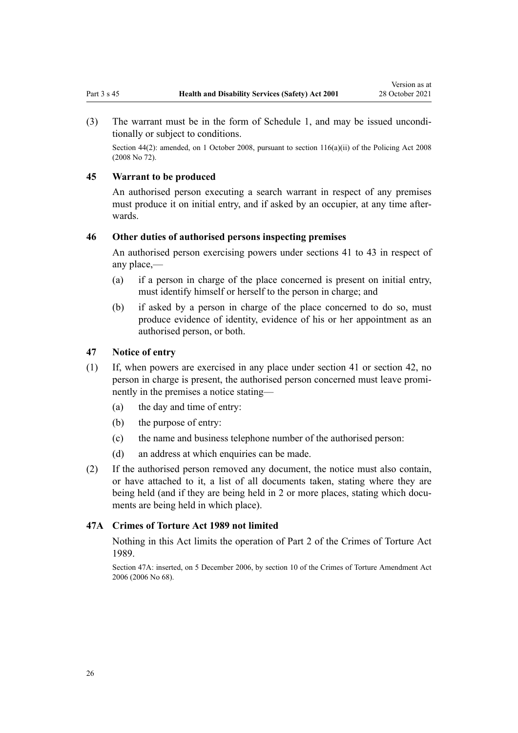<span id="page-25-0"></span>(3) The warrant must be in the [form](#page-35-0) of Schedule 1, and may be issued uncondi‐ tionally or subject to conditions.

Section 44(2): amended, on 1 October 2008, pursuant to [section 116\(a\)\(ii\)](http://legislation.govt.nz/pdflink.aspx?id=DLM1102349) of the Policing Act 2008 (2008 No 72).

#### **45 Warrant to be produced**

An authorised person executing a search warrant in respect of any premises must produce it on initial entry, and if asked by an occupier, at any time afterwards.

## **46 Other duties of authorised persons inspecting premises**

An authorised person exercising powers under [sections 41 to 43](#page-23-0) in respect of any place,—

- (a) if a person in charge of the place concerned is present on initial entry, must identify himself or herself to the person in charge; and
- (b) if asked by a person in charge of the place concerned to do so, must produce evidence of identity, evidence of his or her appointment as an authorised person, or both.

#### **47 Notice of entry**

- (1) If, when powers are exercised in any place under [section 41](#page-23-0) or [section 42,](#page-23-0) no person in charge is present, the authorised person concerned must leave prominently in the premises a notice stating—
	- (a) the day and time of entry:
	- (b) the purpose of entry:
	- (c) the name and business telephone number of the authorised person:
	- (d) an address at which enquiries can be made.
- (2) If the authorised person removed any document, the notice must also contain, or have attached to it, a list of all documents taken, stating where they are being held (and if they are being held in 2 or more places, stating which documents are being held in which place).

# **47A Crimes of Torture Act 1989 not limited**

Nothing in this Act limits the operation of [Part 2](http://legislation.govt.nz/pdflink.aspx?id=DLM192866) of the Crimes of Torture Act 1989.

Section 47A: inserted, on 5 December 2006, by [section 10](http://legislation.govt.nz/pdflink.aspx?id=DLM393150) of the Crimes of Torture Amendment Act 2006 (2006 No 68).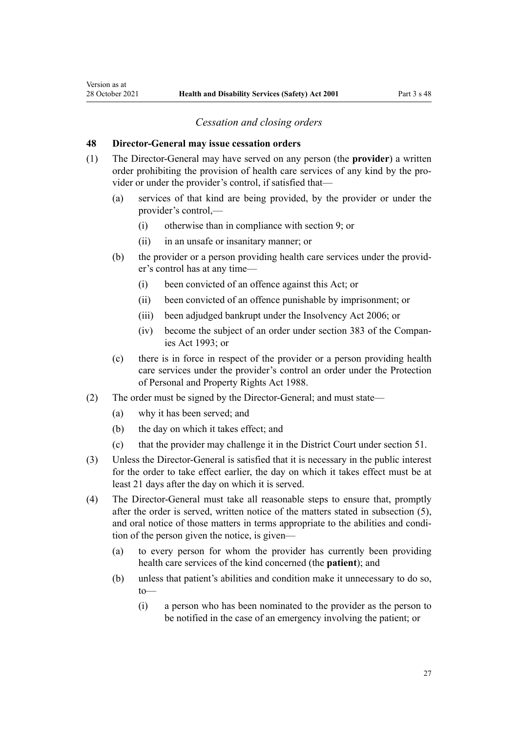#### *Cessation and closing orders*

#### <span id="page-26-0"></span>**48 Director-General may issue cessation orders**

- (1) The Director-General may have served on any person (the **provider**) a written order prohibiting the provision of health care services of any kind by the provider or under the provider's control, if satisfied that—
	- (a) services of that kind are being provided, by the provider or under the provider's control,—
		- (i) otherwise than in compliance with [section 9;](#page-8-0) or
		- (ii) in an unsafe or insanitary manner; or
	- (b) the provider or a person providing health care services under the provider's control has at any time—
		- (i) been convicted of an offence against this Act; or
		- (ii) been convicted of an offence punishable by imprisonment; or
		- (iii) been adjudged bankrupt under the [Insolvency Act 2006](http://legislation.govt.nz/pdflink.aspx?id=DLM385298); or
		- (iv) become the subject of an order under [section 383](http://legislation.govt.nz/pdflink.aspx?id=DLM323252) of the Compan‐ ies Act 1993; or
	- (c) there is in force in respect of the provider or a person providing health care services under the provider's control an order under the [Protection](http://legislation.govt.nz/pdflink.aspx?id=DLM126527) [of Personal and Property Rights Act 1988](http://legislation.govt.nz/pdflink.aspx?id=DLM126527).
- (2) The order must be signed by the Director-General; and must state—
	- (a) why it has been served; and
	- (b) the day on which it takes effect; and
	- (c) that the provider may challenge it in the District Court under [section 51](#page-29-0).
- (3) Unless the Director-General is satisfied that it is necessary in the public interest for the order to take effect earlier, the day on which it takes effect must be at least 21 days after the day on which it is served.
- (4) The Director-General must take all reasonable steps to ensure that, promptly after the order is served, written notice of the matters stated in subsection (5), and oral notice of those matters in terms appropriate to the abilities and condition of the person given the notice, is given—
	- (a) to every person for whom the provider has currently been providing health care services of the kind concerned (the **patient**); and
	- (b) unless that patient's abilities and condition make it unnecessary to do so, to—
		- (i) a person who has been nominated to the provider as the person to be notified in the case of an emergency involving the patient; or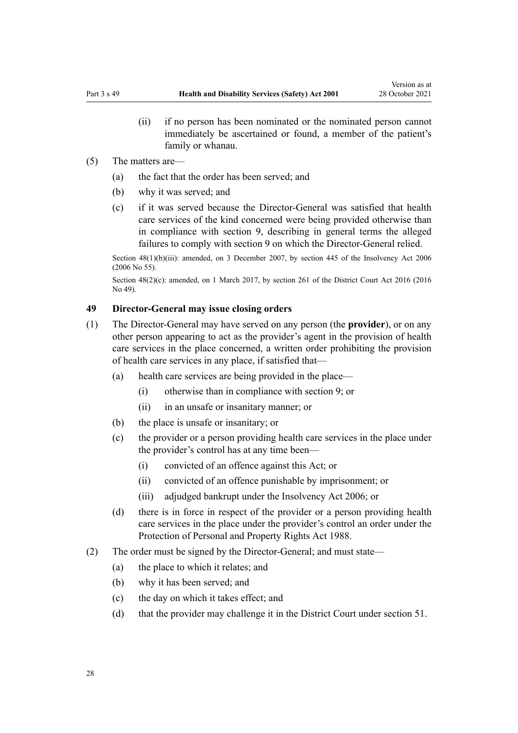(ii) if no person has been nominated or the nominated person cannot immediately be ascertained or found, a member of the patient's family or whanau.

#### <span id="page-27-0"></span>(5) The matters are—

- (a) the fact that the order has been served; and
- (b) why it was served; and
- (c) if it was served because the Director-General was satisfied that health care services of the kind concerned were being provided otherwise than in compliance with [section 9,](#page-8-0) describing in general terms the alleged failures to comply with section 9 on which the Director-General relied.

Section  $48(1)(b)(iii)$ : amended, on 3 December 2007, by [section 445](http://legislation.govt.nz/pdflink.aspx?id=DLM387857) of the Insolvency Act 2006 (2006 No 55).

Section 48(2)(c): amended, on 1 March 2017, by [section 261](http://legislation.govt.nz/pdflink.aspx?id=DLM6942680) of the District Court Act 2016 (2016) No 49).

## **49 Director-General may issue closing orders**

- (1) The Director-General may have served on any person (the **provider**), or on any other person appearing to act as the provider's agent in the provision of health care services in the place concerned, a written order prohibiting the provision of health care services in any place, if satisfied that—
	- (a) health care services are being provided in the place—
		- (i) otherwise than in compliance with [section 9;](#page-8-0) or
		- (ii) in an unsafe or insanitary manner; or
	- (b) the place is unsafe or insanitary; or
	- (c) the provider or a person providing health care services in the place under the provider's control has at any time been—
		- (i) convicted of an offence against this Act; or
		- (ii) convicted of an offence punishable by imprisonment; or
		- (iii) adjudged bankrupt under the [Insolvency Act 2006;](http://legislation.govt.nz/pdflink.aspx?id=DLM385298) or
	- (d) there is in force in respect of the provider or a person providing health care services in the place under the provider's control an order under the [Protection of Personal and Property Rights Act 1988.](http://legislation.govt.nz/pdflink.aspx?id=DLM126527)
- (2) The order must be signed by the Director-General; and must state—
	- (a) the place to which it relates; and
	- (b) why it has been served; and
	- (c) the day on which it takes effect; and
	- (d) that the provider may challenge it in the District Court under [section 51](#page-29-0).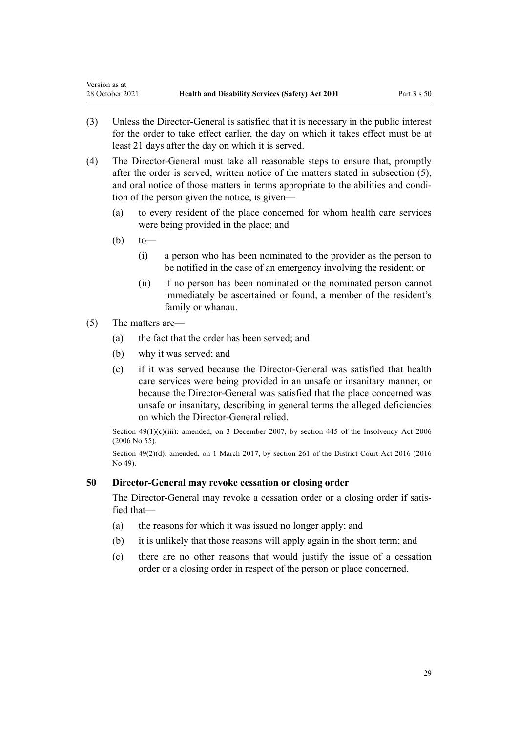- (3) Unless the Director-General is satisfied that it is necessary in the public interest for the order to take effect earlier, the day on which it takes effect must be at least 21 days after the day on which it is served.
- (4) The Director-General must take all reasonable steps to ensure that, promptly after the order is served, written notice of the matters stated in subsection (5), and oral notice of those matters in terms appropriate to the abilities and condition of the person given the notice, is given—
	- (a) to every resident of the place concerned for whom health care services were being provided in the place; and
	- $(b)$  to —

<span id="page-28-0"></span>Version as at

- (i) a person who has been nominated to the provider as the person to be notified in the case of an emergency involving the resident; or
- (ii) if no person has been nominated or the nominated person cannot immediately be ascertained or found, a member of the resident's family or whanau.
- (5) The matters are—
	- (a) the fact that the order has been served; and
	- (b) why it was served; and
	- (c) if it was served because the Director-General was satisfied that health care services were being provided in an unsafe or insanitary manner, or because the Director-General was satisfied that the place concerned was unsafe or insanitary, describing in general terms the alleged deficiencies on which the Director-General relied.

Section  $49(1)(c)(iii)$ : amended, on 3 December 2007, by [section 445](http://legislation.govt.nz/pdflink.aspx?id=DLM387857) of the Insolvency Act 2006 (2006 No 55).

Section 49(2)(d): amended, on 1 March 2017, by [section 261](http://legislation.govt.nz/pdflink.aspx?id=DLM6942680) of the District Court Act 2016 (2016 No 49).

# **50 Director-General may revoke cessation or closing order**

The Director-General may revoke a cessation order or a closing order if satisfied that—

- (a) the reasons for which it was issued no longer apply; and
- (b) it is unlikely that those reasons will apply again in the short term; and
- (c) there are no other reasons that would justify the issue of a cessation order or a closing order in respect of the person or place concerned.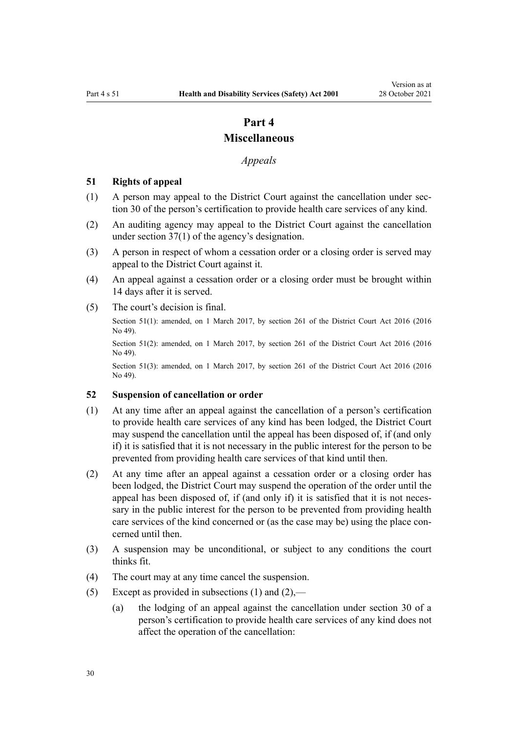# **Part 4**

# **Miscellaneous**

## *Appeals*

# <span id="page-29-0"></span>**51 Rights of appeal**

- (1) A person may appeal to the District Court against the cancellation under [sec‐](#page-17-0) [tion 30](#page-17-0) of the person's certification to provide health care services of any kind.
- (2) An auditing agency may appeal to the District Court against the cancellation under [section 37\(1\)](#page-21-0) of the agency's designation.
- (3) A person in respect of whom a cessation order or a closing order is served may appeal to the District Court against it.
- (4) An appeal against a cessation order or a closing order must be brought within 14 days after it is served.
- (5) The court's decision is final.

Section 51(1): amended, on 1 March 2017, by [section 261](http://legislation.govt.nz/pdflink.aspx?id=DLM6942680) of the District Court Act 2016 (2016) No 49).

Section 51(2): amended, on 1 March 2017, by [section 261](http://legislation.govt.nz/pdflink.aspx?id=DLM6942680) of the District Court Act 2016 (2016 No 49).

Section 51(3): amended, on 1 March 2017, by [section 261](http://legislation.govt.nz/pdflink.aspx?id=DLM6942680) of the District Court Act 2016 (2016 No 49).

#### **52 Suspension of cancellation or order**

- (1) At any time after an appeal against the cancellation of a person's certification to provide health care services of any kind has been lodged, the District Court may suspend the cancellation until the appeal has been disposed of, if (and only if) it is satisfied that it is not necessary in the public interest for the person to be prevented from providing health care services of that kind until then.
- (2) At any time after an appeal against a cessation order or a closing order has been lodged, the District Court may suspend the operation of the order until the appeal has been disposed of, if (and only if) it is satisfied that it is not necessary in the public interest for the person to be prevented from providing health care services of the kind concerned or (as the case may be) using the place concerned until then.
- (3) A suspension may be unconditional, or subject to any conditions the court thinks fit.
- (4) The court may at any time cancel the suspension.
- (5) Except as provided in subsections (1) and  $(2)$ ,—
	- (a) the lodging of an appeal against the cancellation under [section 30](#page-17-0) of a person's certification to provide health care services of any kind does not affect the operation of the cancellation: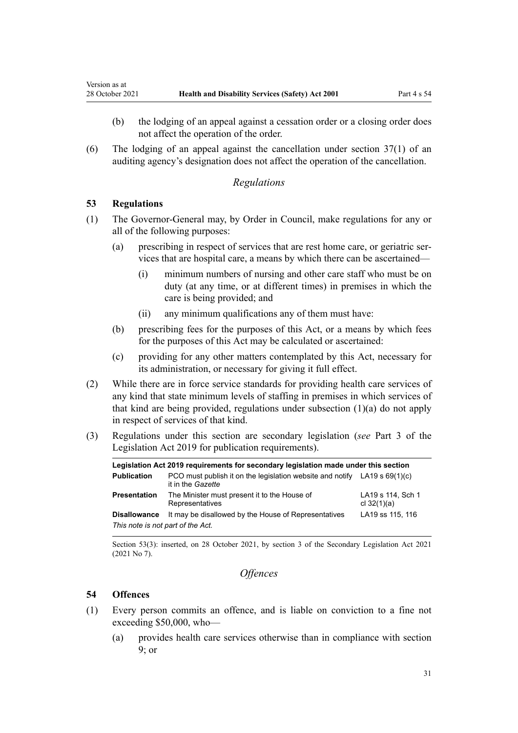- (b) the lodging of an appeal against a cessation order or a closing order does not affect the operation of the order.
- (6) The lodging of an appeal against the cancellation under [section 37\(1\)](#page-21-0) of an auditing agency's designation does not affect the operation of the cancellation.

#### *Regulations*

#### **53 Regulations**

<span id="page-30-0"></span>Version as at

- (1) The Governor-General may, by Order in Council, make regulations for any or all of the following purposes:
	- (a) prescribing in respect of services that are rest home care, or geriatric ser‐ vices that are hospital care, a means by which there can be ascertained—
		- (i) minimum numbers of nursing and other care staff who must be on duty (at any time, or at different times) in premises in which the care is being provided; and
		- (ii) any minimum qualifications any of them must have:
	- (b) prescribing fees for the purposes of this Act, or a means by which fees for the purposes of this Act may be calculated or ascertained:
	- (c) providing for any other matters contemplated by this Act, necessary for its administration, or necessary for giving it full effect.
- (2) While there are in force service standards for providing health care services of any kind that state minimum levels of staffing in premises in which services of that kind are being provided, regulations under subsection  $(1)(a)$  do not apply in respect of services of that kind.
- (3) Regulations under this section are secondary legislation (*see* [Part 3](http://legislation.govt.nz/pdflink.aspx?id=DLM7298343) of the Legislation Act 2019 for publication requirements).

| Legislation Act 2019 requirements for secondary legislation made under this section |                                                                                                  |                                    |  |
|-------------------------------------------------------------------------------------|--------------------------------------------------------------------------------------------------|------------------------------------|--|
| <b>Publication</b>                                                                  | PCO must publish it on the legislation website and notify LA19 s $69(1)(c)$<br>it in the Gazette |                                    |  |
| <b>Presentation</b>                                                                 | The Minister must present it to the House of<br>Representatives                                  | LA19 s 114, Sch 1<br>cl $32(1)(a)$ |  |
| <b>Disallowance</b>                                                                 | It may be disallowed by the House of Representatives                                             | LA19 ss 115, 116                   |  |
| This note is not part of the Act.                                                   |                                                                                                  |                                    |  |

Section 53(3): inserted, on 28 October 2021, by [section 3](http://legislation.govt.nz/pdflink.aspx?id=LMS268932) of the Secondary Legislation Act 2021 (2021 No 7).

```
Offences
```
## **54 Offences**

- (1) Every person commits an offence, and is liable on conviction to a fine not exceeding \$50,000, who—
	- (a) provides health care services otherwise than in compliance with [section](#page-8-0) [9;](#page-8-0) or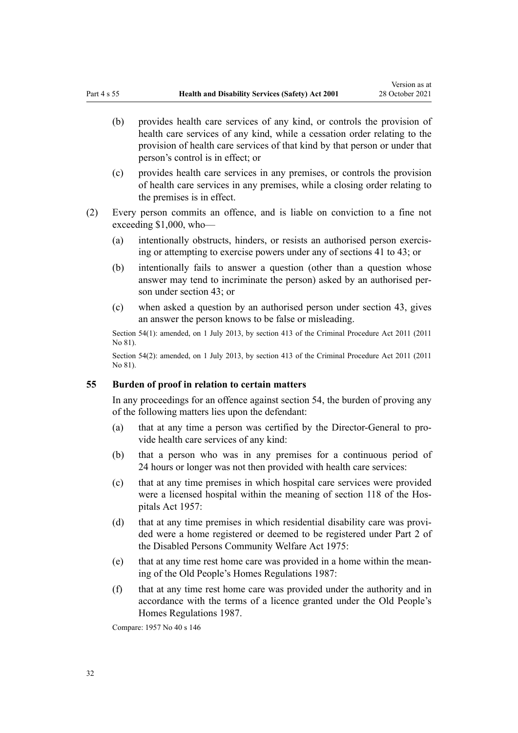- <span id="page-31-0"></span>(b) provides health care services of any kind, or controls the provision of health care services of any kind, while a cessation order relating to the provision of health care services of that kind by that person or under that person's control is in effect; or
- (c) provides health care services in any premises, or controls the provision of health care services in any premises, while a closing order relating to the premises is in effect.
- (2) Every person commits an offence, and is liable on conviction to a fine not exceeding \$1,000, who—
	- (a) intentionally obstructs, hinders, or resists an authorised person exercis‐ ing or attempting to exercise powers under any of [sections 41 to 43](#page-23-0); or
	- (b) intentionally fails to answer a question (other than a question whose answer may tend to incriminate the person) asked by an authorised per‐ son under [section 43](#page-24-0); or
	- (c) when asked a question by an authorised person under section 43, gives an answer the person knows to be false or misleading.

Section 54(1): amended, on 1 July 2013, by [section 413](http://legislation.govt.nz/pdflink.aspx?id=DLM3360714) of the Criminal Procedure Act 2011 (2011 No 81).

Section 54(2): amended, on 1 July 2013, by [section 413](http://legislation.govt.nz/pdflink.aspx?id=DLM3360714) of the Criminal Procedure Act 2011 (2011  $No$   $R1$ 

#### **55 Burden of proof in relation to certain matters**

In any proceedings for an offence against [section 54](#page-30-0), the burden of proving any of the following matters lies upon the defendant:

- (a) that at any time a person was certified by the Director-General to pro‐ vide health care services of any kind:
- (b) that a person who was in any premises for a continuous period of 24 hours or longer was not then provided with health care services:
- (c) that at any time premises in which hospital care services were provided were a licensed hospital within the meaning of section 118 of the Hospitals Act 1957:
- (d) that at any time premises in which residential disability care was provided were a home registered or deemed to be registered under [Part 2](http://legislation.govt.nz/pdflink.aspx?id=DLM437025) of the Disabled Persons Community Welfare Act 1975:
- (e) that at any time rest home care was provided in a home within the mean‐ ing of the Old People's Homes Regulations 1987:
- (f) that at any time rest home care was provided under the authority and in accordance with the terms of a licence granted under the Old People's Homes Regulations 1987.

Compare: 1957 No 40 s 146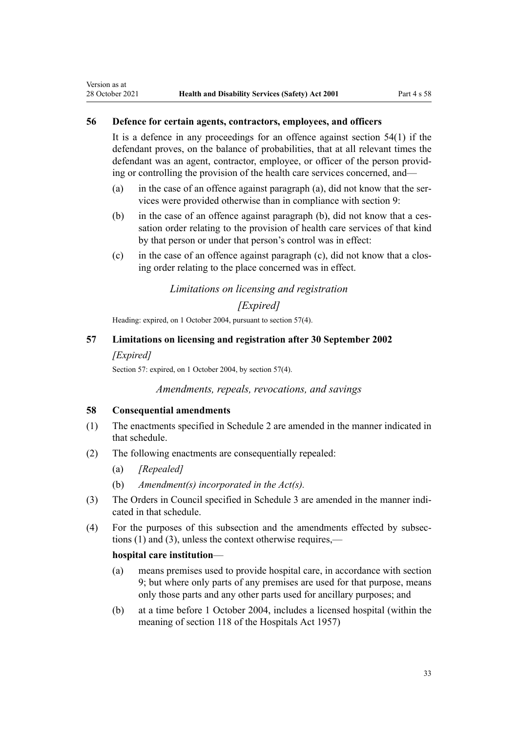# <span id="page-32-0"></span>**56 Defence for certain agents, contractors, employees, and officers**

It is a defence in any proceedings for an offence against [section 54\(1\)](#page-30-0) if the defendant proves, on the balance of probabilities, that at all relevant times the defendant was an agent, contractor, employee, or officer of the person provid‐ ing or controlling the provision of the health care services concerned, and—

- (a) in the case of an offence against paragraph  $(a)$ , did not know that the services were provided otherwise than in compliance with [section 9](#page-8-0):
- (b) in the case of an offence against paragraph (b), did not know that a cessation order relating to the provision of health care services of that kind by that person or under that person's control was in effect:
- $(c)$  in the case of an offence against paragraph  $(c)$ , did not know that a closing order relating to the place concerned was in effect.

# *Limitations on licensing and registration*

# *[Expired]*

Heading: expired, on 1 October 2004, pursuant to section 57(4).

# **57 Limitations on licensing and registration after 30 September 2002**

## *[Expired]*

Section 57: expired, on 1 October 2004, by section 57(4).

## *Amendments, repeals, revocations, and savings*

## **58 Consequential amendments**

- (1) The enactments specified in [Schedule 2](#page-36-0) are amended in the manner indicated in that schedule.
- (2) The following enactments are consequentially repealed:
	- (a) *[Repealed]*
	- (b) *Amendment(s) incorporated in the Act(s).*
- (3) The Orders in Council specified in [Schedule 3](#page-39-0) are amended in the manner indicated in that schedule.
- (4) For the purposes of this subsection and the amendments effected by subsec‐ tions (1) and (3), unless the context otherwise requires,—

# **hospital care institution**—

- (a) means premises used to provide hospital care, in accordance with [section](#page-8-0) [9;](#page-8-0) but where only parts of any premises are used for that purpose, means only those parts and any other parts used for ancillary purposes; and
- (b) at a time before 1 October 2004, includes a licensed hospital (within the meaning of section 118 of the Hospitals Act 1957)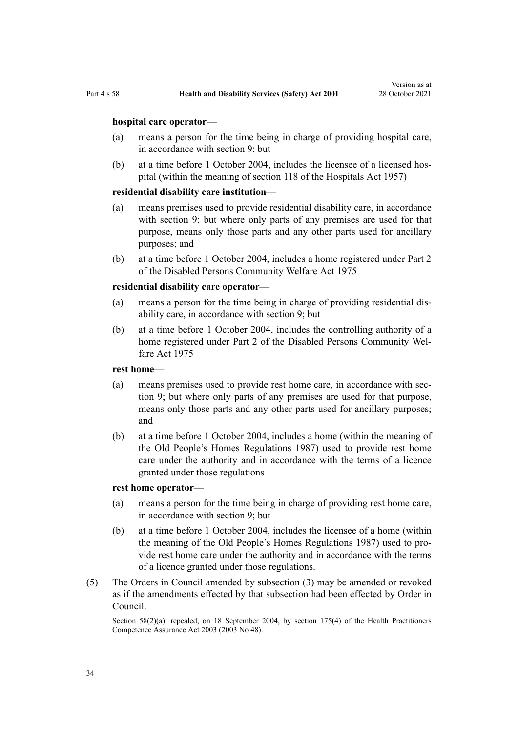#### **hospital care operator**—

- (a) means a person for the time being in charge of providing hospital care, in accordance with [section 9](#page-8-0); but
- (b) at a time before 1 October 2004, includes the licensee of a licensed hos‐ pital (within the meaning of section 118 of the Hospitals Act 1957)

#### **residential disability care institution**—

- (a) means premises used to provide residential disability care, in accordance with [section 9;](#page-8-0) but where only parts of any premises are used for that purpose, means only those parts and any other parts used for ancillary purposes; and
- (b) at a time before 1 October 2004, includes a home registered under [Part 2](http://legislation.govt.nz/pdflink.aspx?id=DLM437025) of the Disabled Persons Community Welfare Act 1975

#### **residential disability care operator**—

- (a) means a person for the time being in charge of providing residential dis‐ ability care, in accordance with [section 9](#page-8-0); but
- (b) at a time before 1 October 2004, includes the controlling authority of a home registered under [Part 2](http://legislation.govt.nz/pdflink.aspx?id=DLM437025) of the Disabled Persons Community Welfare Act 1975

#### **rest home**—

- (a) means premises used to provide rest home care, in accordance with sec[tion 9;](#page-8-0) but where only parts of any premises are used for that purpose, means only those parts and any other parts used for ancillary purposes; and
- (b) at a time before 1 October 2004, includes a home (within the meaning of the Old People's Homes Regulations 1987) used to provide rest home care under the authority and in accordance with the terms of a licence granted under those regulations

#### **rest home operator**—

- (a) means a person for the time being in charge of providing rest home care, in accordance with [section 9](#page-8-0); but
- (b) at a time before 1 October 2004, includes the licensee of a home (within the meaning of the Old People's Homes Regulations 1987) used to pro‐ vide rest home care under the authority and in accordance with the terms of a licence granted under those regulations.
- (5) The Orders in Council amended by subsection (3) may be amended or revoked as if the amendments effected by that subsection had been effected by Order in Council.

Section 58(2)(a): repealed, on 18 September 2004, by [section 175\(4\)](http://legislation.govt.nz/pdflink.aspx?id=DLM205009) of the Health Practitioners Competence Assurance Act 2003 (2003 No 48).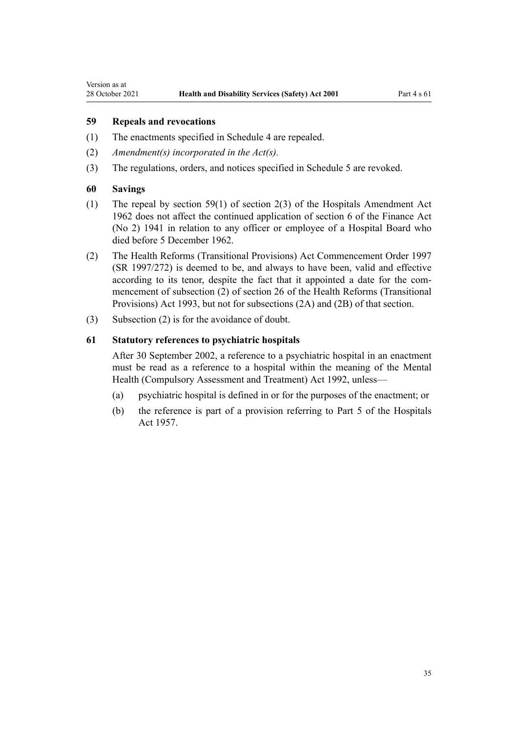# <span id="page-34-0"></span>**59 Repeals and revocations**

- (1) The enactments specified in [Schedule 4](#page-40-0) are repealed.
- (2) *Amendment(s) incorporated in the [Act\(s\).](http://legislation.govt.nz/pdflink.aspx?id=DLM264251)*
- (3) The regulations, orders, and notices specified in [Schedule 5](#page-42-0) are revoked.

#### **60 Savings**

- (1) The repeal by section 59(1) of section 2(3) of the Hospitals Amendment Act 1962 does not affect the continued application of [section 6](http://legislation.govt.nz/pdflink.aspx?id=DLM235134) of the Finance Act (No 2) 1941 in relation to any officer or employee of a Hospital Board who died before 5 December 1962.
- (2) The [Health Reforms \(Transitional Provisions\) Act Commencement Order 1997](http://legislation.govt.nz/pdflink.aspx?id=DLM239969) (SR 1997/272) is deemed to be, and always to have been, valid and effective according to its tenor, despite the fact that it appointed a date for the commencement of subsection (2) of [section 26](http://legislation.govt.nz/pdflink.aspx?id=DLM295163) of the Health Reforms (Transitional Provisions) Act 1993, but not for subsections (2A) and (2B) of that section.
- (3) Subsection (2) is for the avoidance of doubt.

# **61 Statutory references to psychiatric hospitals**

After 30 September 2002, a reference to a psychiatric hospital in an enactment must be read as a reference to a hospital within the meaning of the [Mental](http://legislation.govt.nz/pdflink.aspx?id=DLM262175) [Health \(Compulsory Assessment and Treatment\) Act 1992](http://legislation.govt.nz/pdflink.aspx?id=DLM262175), unless—

- (a) psychiatric hospital is defined in or for the purposes of the enactment; or
- (b) the reference is part of a provision referring to Part 5 of the Hospitals Act 1957.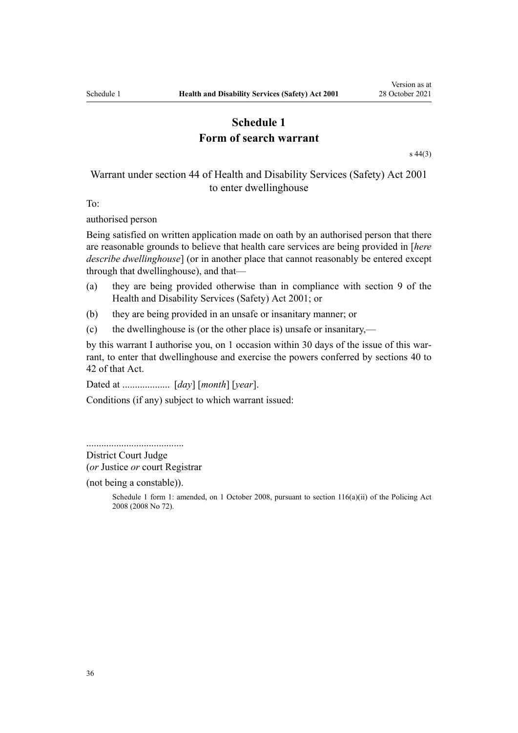# **Schedule 1 Form of search warrant**

[s 44\(3\)](#page-24-0)

# <span id="page-35-0"></span>Warrant under section 44 of Health and Disability Services (Safety) Act 2001 to enter dwellinghouse

To:

authorised person

Being satisfied on written application made on oath by an authorised person that there are reasonable grounds to believe that health care services are being provided in [*here describe dwellinghouse*] (or in another place that cannot reasonably be entered except through that dwellinghouse), and that—

- (a) they are being provided otherwise than in compliance with [section 9](#page-8-0) of the Health and Disability Services (Safety) Act 2001; or
- (b) they are being provided in an unsafe or insanitary manner; or
- (c) the dwellinghouse is (or the other place is) unsafe or insanitary,—

by this warrant I authorise you, on 1 occasion within 30 days of the issue of this warrant, to enter that dwellinghouse and exercise the powers conferred by [sections 40 to](#page-22-0) [42](#page-22-0) of that Act.

Dated at ................... [*day*] [*month*] [*year*].

Conditions (if any) subject to which warrant issued:

.......................................

District Court Judge (*or* Justice *or* court Registrar

(not being a constable)).

Schedule 1 form 1: amended, on 1 October 2008, pursuant to [section 116\(a\)\(ii\)](http://legislation.govt.nz/pdflink.aspx?id=DLM1102349) of the Policing Act 2008 (2008 No 72).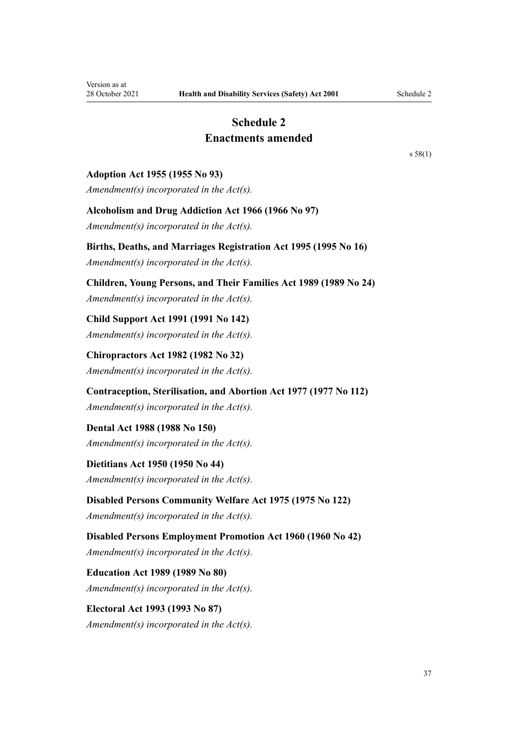# **Schedule 2 Enactments amended**

<span id="page-36-0"></span>**Adoption Act 1955 (1955 No 93)**

*Amendment(s) incorporated in the [Act\(s\).](http://legislation.govt.nz/pdflink.aspx?id=DLM293323)*

# **Alcoholism and Drug Addiction Act 1966 (1966 No 97)**

*Amendment(s) incorporated in the [Act\(s\).](http://legislation.govt.nz/pdflink.aspx?id=DLM380363)*

# **Births, Deaths, and Marriages Registration Act 1995 (1995 No 16)**

*Amendment(s) incorporated in the [Act\(s\).](http://legislation.govt.nz/pdflink.aspx?id=DLM359378)*

# **Children, Young Persons, and Their Families Act 1989 (1989 No 24)**

*Amendment(s) incorporated in the [Act\(s\).](http://legislation.govt.nz/pdflink.aspx?id=DLM149457)*

**Child Support Act 1991 (1991 No 142)** *Amendment(s) incorporated in the [Act\(s\).](http://legislation.govt.nz/pdflink.aspx?id=DLM253150)*

**Chiropractors Act 1982 (1982 No 32)** *Amendment(s) incorporated in the Act(s).*

**Contraception, Sterilisation, and Abortion Act 1977 (1977 No 112)**

*Amendment(s) incorporated in the [Act\(s\).](http://legislation.govt.nz/pdflink.aspx?id=DLM17685)*

**Dental Act 1988 (1988 No 150)** *Amendment(s) incorporated in the Act(s).*

**Dietitians Act 1950 (1950 No 44)** *Amendment(s) incorporated in the Act(s).*

**Disabled Persons Community Welfare Act 1975 (1975 No 122)** *Amendment(s) incorporated in the [Act\(s\).](http://legislation.govt.nz/pdflink.aspx?id=DLM436795)*

**Disabled Persons Employment Promotion Act 1960 (1960 No 42)** *Amendment(s) incorporated in the Act(s).*

**Education Act 1989 (1989 No 80)** *Amendment(s) incorporated in the [Act\(s\).](http://legislation.govt.nz/pdflink.aspx?id=DLM180449)*

**Electoral Act 1993 (1993 No 87)** *Amendment(s) incorporated in the [Act\(s\).](http://legislation.govt.nz/pdflink.aspx?id=DLM307525)* [s 58\(1\)](#page-32-0)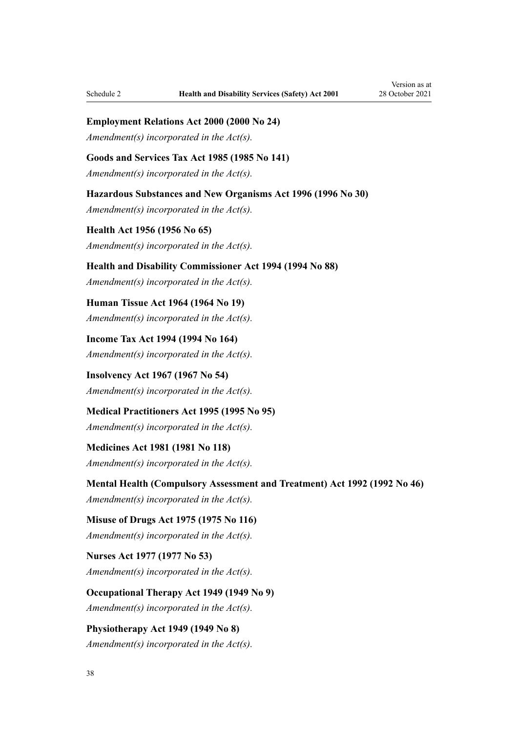**Employment Relations Act 2000 (2000 No 24)**

*Amendment(s) incorporated in the [Act\(s\).](http://legislation.govt.nz/pdflink.aspx?id=DLM61714)*

**Goods and Services Tax Act 1985 (1985 No 141)**

*Amendment(s) incorporated in the [Act\(s\).](http://legislation.govt.nz/pdflink.aspx?id=DLM81045)*

**Hazardous Substances and New Organisms Act 1996 (1996 No 30)**

*Amendment(s) incorporated in the [Act\(s\).](http://legislation.govt.nz/pdflink.aspx?id=DLM385138)*

**Health Act 1956 (1956 No 65)** *Amendment(s) incorporated in the [Act\(s\).](http://legislation.govt.nz/pdflink.aspx?id=DLM305845)*

**Health and Disability Commissioner Act 1994 (1994 No 88)**

*Amendment(s) incorporated in the [Act\(s\).](http://legislation.govt.nz/pdflink.aspx?id=DLM333589)*

**Human Tissue Act 1964 (1964 No 19)** *Amendment(s) incorporated in the Act(s).*

**Income Tax Act 1994 (1994 No 164)** *Amendment(s) incorporated in the Act(s).*

**Insolvency Act 1967 (1967 No 54)** *Amendment(s) incorporated in the [Act\(s\).](http://legislation.govt.nz/pdflink.aspx?id=DLM384107)*

**Medical Practitioners Act 1995 (1995 No 95)** *Amendment(s) incorporated in the Act(s).*

**Medicines Act 1981 (1981 No 118)** *Amendment(s) incorporated in the [Act\(s\).](http://legislation.govt.nz/pdflink.aspx?id=DLM53795)*

**Mental Health (Compulsory Assessment and Treatment) Act 1992 (1992 No 46)**

*Amendment(s) incorporated in the [Act\(s\).](http://legislation.govt.nz/pdflink.aspx?id=DLM262181)*

**Misuse of Drugs Act 1975 (1975 No 116)** *Amendment(s) incorporated in the [Act\(s\).](http://legislation.govt.nz/pdflink.aspx?id=DLM436441)*

**Nurses Act 1977 (1977 No 53)** *Amendment(s) incorporated in the Act(s).*

**Occupational Therapy Act 1949 (1949 No 9)** *Amendment(s) incorporated in the Act(s).*

**Physiotherapy Act 1949 (1949 No 8)** *Amendment(s) incorporated in the Act(s).*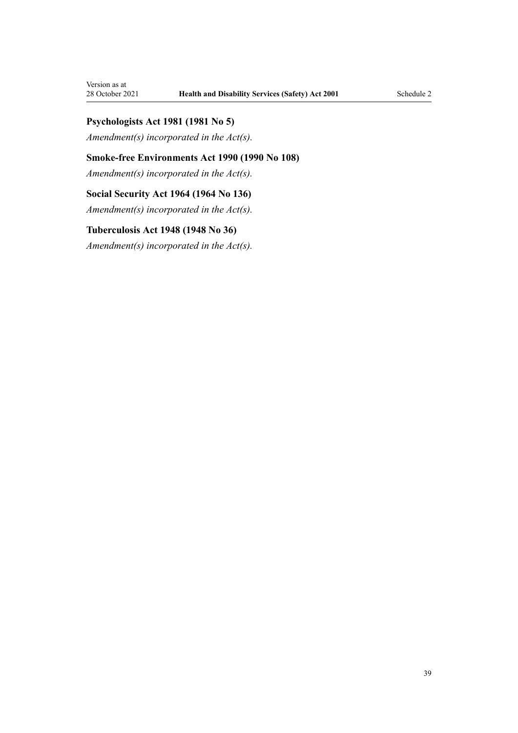# **Psychologists Act 1981 (1981 No 5)**

*Amendment(s) incorporated in the Act(s).*

# **Smoke-free Environments Act 1990 (1990 No 108)**

*Amendment(s) incorporated in the [Act\(s\).](http://legislation.govt.nz/pdflink.aspx?id=DLM223196)*

# **Social Security Act 1964 (1964 No 136)**

*Amendment(s) incorporated in the [Act\(s\).](http://legislation.govt.nz/pdflink.aspx?id=DLM359124)*

# **Tuberculosis Act 1948 (1948 No 36)**

*Amendment(s) incorporated in the [Act\(s\).](http://legislation.govt.nz/pdflink.aspx?id=DLM248405)*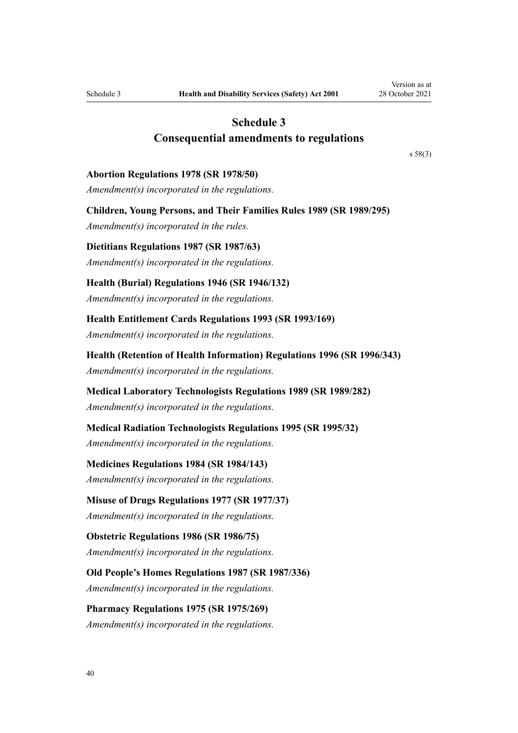# **Schedule 3 Consequential amendments to regulations**

[s 58\(3\)](#page-32-0)

#### <span id="page-39-0"></span>**Abortion Regulations 1978 (SR 1978/50)**

*Amendment(s) incorporated in the [regulations](http://legislation.govt.nz/pdflink.aspx?id=DLM61588).*

**Children, Young Persons, and Their Families Rules 1989 (SR 1989/295)** *Amendment(s) incorporated in the [rules](http://legislation.govt.nz/pdflink.aspx?id=DLM132832).*

**Dietitians Regulations 1987 (SR 1987/63)** *Amendment(s) incorporated in the regulations.*

**Health (Burial) Regulations 1946 (SR 1946/132)** *Amendment(s) incorporated in the [regulations](http://legislation.govt.nz/pdflink.aspx?id=DLM2950).*

**Health Entitlement Cards Regulations 1993 (SR 1993/169)** *Amendment(s) incorporated in the [regulations](http://legislation.govt.nz/pdflink.aspx?id=DLM176257).*

**Health (Retention of Health Information) Regulations 1996 (SR 1996/343)** *Amendment(s) incorporated in the [regulations](http://legislation.govt.nz/pdflink.aspx?id=DLM225641).*

**Medical Laboratory Technologists Regulations 1989 (SR 1989/282)** *Amendment(s) incorporated in the regulations.*

**Medical Radiation Technologists Regulations 1995 (SR 1995/32)** *Amendment(s) incorporated in the regulations.*

**Medicines Regulations 1984 (SR 1984/143)**

*Amendment(s) incorporated in the [regulations](http://legislation.govt.nz/pdflink.aspx?id=DLM96553).*

**Misuse of Drugs Regulations 1977 (SR 1977/37)**

*Amendment(s) incorporated in the [regulations](http://legislation.govt.nz/pdflink.aspx?id=DLM54846).*

**Obstetric Regulations 1986 (SR 1986/75)** *Amendment(s) incorporated in the regulations.*

**Old People's Homes Regulations 1987 (SR 1987/336)**

*Amendment(s) incorporated in the regulations.*

**Pharmacy Regulations 1975 (SR 1975/269)** *Amendment(s) incorporated in the regulations.*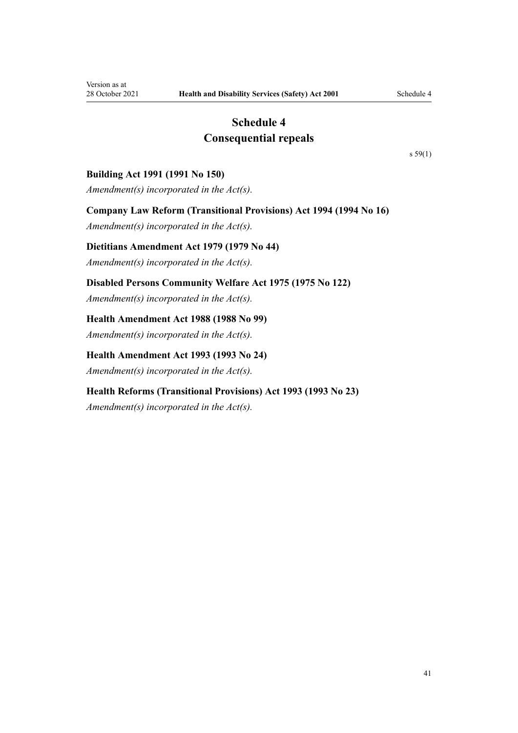# **Schedule 4 Consequential repeals**

[s 59\(1\)](#page-34-0)

# <span id="page-40-0"></span>**Building Act 1991 (1991 No 150)**

*Amendment(s) incorporated in the Act(s).*

**Company Law Reform (Transitional Provisions) Act 1994 (1994 No 16)**

*Amendment(s) incorporated in the [Act\(s\).](http://legislation.govt.nz/pdflink.aspx?id=DLM328991)*

# **Dietitians Amendment Act 1979 (1979 No 44)**

*Amendment(s) incorporated in the Act(s).*

**Disabled Persons Community Welfare Act 1975 (1975 No 122)**

*Amendment(s) incorporated in the [Act\(s\).](http://legislation.govt.nz/pdflink.aspx?id=DLM437059)*

# **Health Amendment Act 1988 (1988 No 99)**

*Amendment(s) incorporated in the [Act\(s\).](http://legislation.govt.nz/pdflink.aspx?id=DLM132558)*

# **Health Amendment Act 1993 (1993 No 24)**

*Amendment(s) incorporated in the [Act\(s\).](http://legislation.govt.nz/pdflink.aspx?id=DLM295792)*

# **Health Reforms (Transitional Provisions) Act 1993 (1993 No 23)**

*Amendment(s) incorporated in the [Act\(s\).](http://legislation.govt.nz/pdflink.aspx?id=DLM295163)*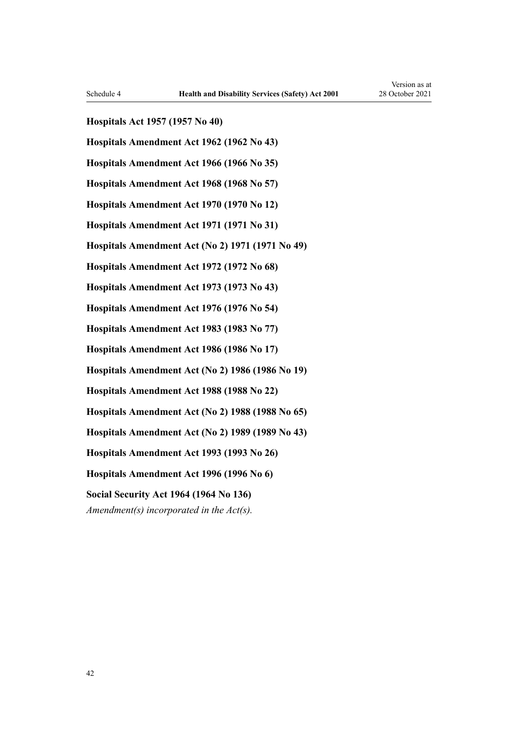**Hospitals Act 1957 (1957 No 40)**

**Hospitals Amendment Act 1962 (1962 No 43)**

**Hospitals Amendment Act 1966 (1966 No 35)**

**Hospitals Amendment Act 1968 (1968 No 57)**

**Hospitals Amendment Act 1970 (1970 No 12)**

**Hospitals Amendment Act 1971 (1971 No 31)**

**Hospitals Amendment Act (No 2) 1971 (1971 No 49)**

**Hospitals Amendment Act 1972 (1972 No 68)**

**Hospitals Amendment Act 1973 (1973 No 43)**

**Hospitals Amendment Act 1976 (1976 No 54)**

**Hospitals Amendment Act 1983 (1983 No 77)**

**Hospitals Amendment Act 1986 (1986 No 17)**

**Hospitals Amendment Act (No 2) 1986 (1986 No 19)**

**Hospitals Amendment Act 1988 (1988 No 22)**

**Hospitals Amendment Act (No 2) 1988 (1988 No 65)**

**Hospitals Amendment Act (No 2) 1989 (1989 No 43)**

**Hospitals Amendment Act 1993 (1993 No 26)**

**Hospitals Amendment Act 1996 (1996 No 6)**

**Social Security Act 1964 (1964 No 136)**

*Amendment(s) incorporated in the [Act\(s\).](http://legislation.govt.nz/pdflink.aspx?id=DLM359124)*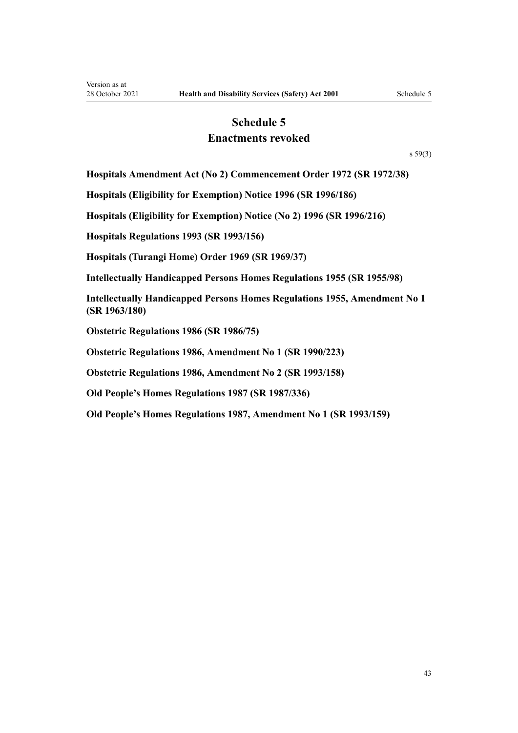# **Schedule 5 Enactments revoked**

[s 59\(3\)](#page-34-0)

<span id="page-42-0"></span>**Hospitals Amendment Act (No 2) Commencement Order 1972 (SR 1972/38)**

**Hospitals (Eligibility for Exemption) Notice 1996 (SR 1996/186)**

**Hospitals (Eligibility for Exemption) Notice (No 2) 1996 (SR 1996/216)**

**Hospitals Regulations 1993 (SR 1993/156)**

**Hospitals (Turangi Home) Order 1969 (SR 1969/37)**

**Intellectually Handicapped Persons Homes Regulations 1955 (SR 1955/98)**

**Intellectually Handicapped Persons Homes Regulations 1955, Amendment No 1 (SR 1963/180)**

**Obstetric Regulations 1986 (SR 1986/75)**

**Obstetric Regulations 1986, Amendment No 1 (SR 1990/223)**

**Obstetric Regulations 1986, Amendment No 2 (SR 1993/158)**

**Old People's Homes Regulations 1987 (SR 1987/336)**

**Old People's Homes Regulations 1987, Amendment No 1 (SR 1993/159)**